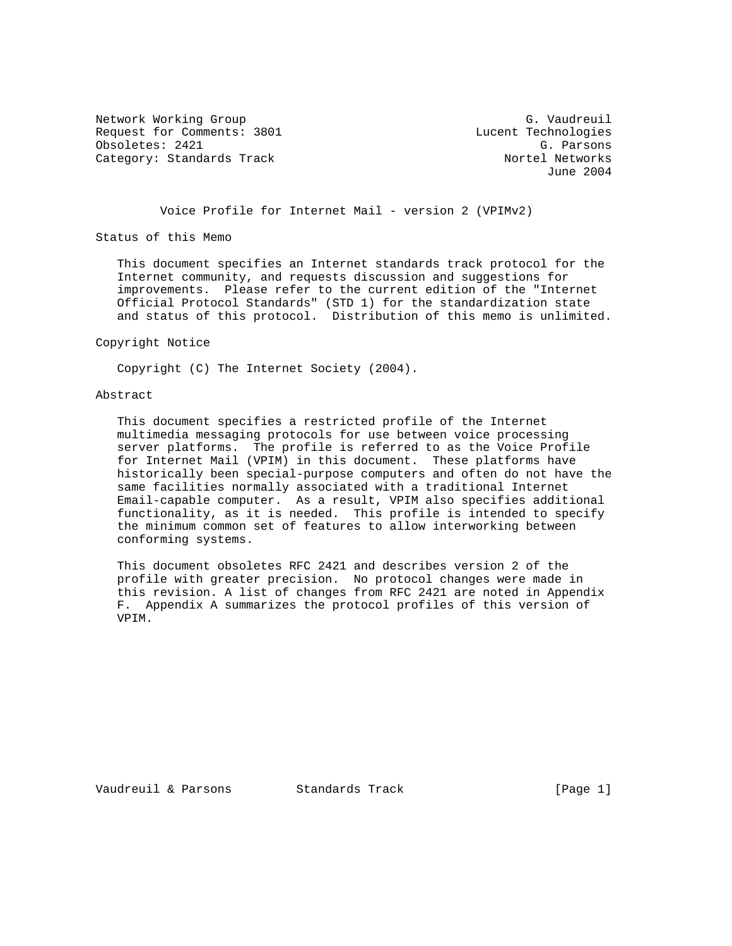Network Working Group G. Vaudreuil Request for Comments: 3801 Lucent Technologies<br>
Obsoletes: 2421 G. Parsons Obsoletes: 2421 G. Parsons Category: Standards Track

June 2004

Voice Profile for Internet Mail - version 2 (VPIMv2)

Status of this Memo

 This document specifies an Internet standards track protocol for the Internet community, and requests discussion and suggestions for improvements. Please refer to the current edition of the "Internet Official Protocol Standards" (STD 1) for the standardization state and status of this protocol. Distribution of this memo is unlimited.

Copyright Notice

Copyright (C) The Internet Society (2004).

## Abstract

 This document specifies a restricted profile of the Internet multimedia messaging protocols for use between voice processing server platforms. The profile is referred to as the Voice Profile for Internet Mail (VPIM) in this document. These platforms have historically been special-purpose computers and often do not have the same facilities normally associated with a traditional Internet Email-capable computer. As a result, VPIM also specifies additional functionality, as it is needed. This profile is intended to specify the minimum common set of features to allow interworking between conforming systems.

 This document obsoletes RFC 2421 and describes version 2 of the profile with greater precision. No protocol changes were made in this revision. A list of changes from RFC 2421 are noted in Appendix F. Appendix A summarizes the protocol profiles of this version of VPIM.

Vaudreuil & Parsons Standards Track [Page 1]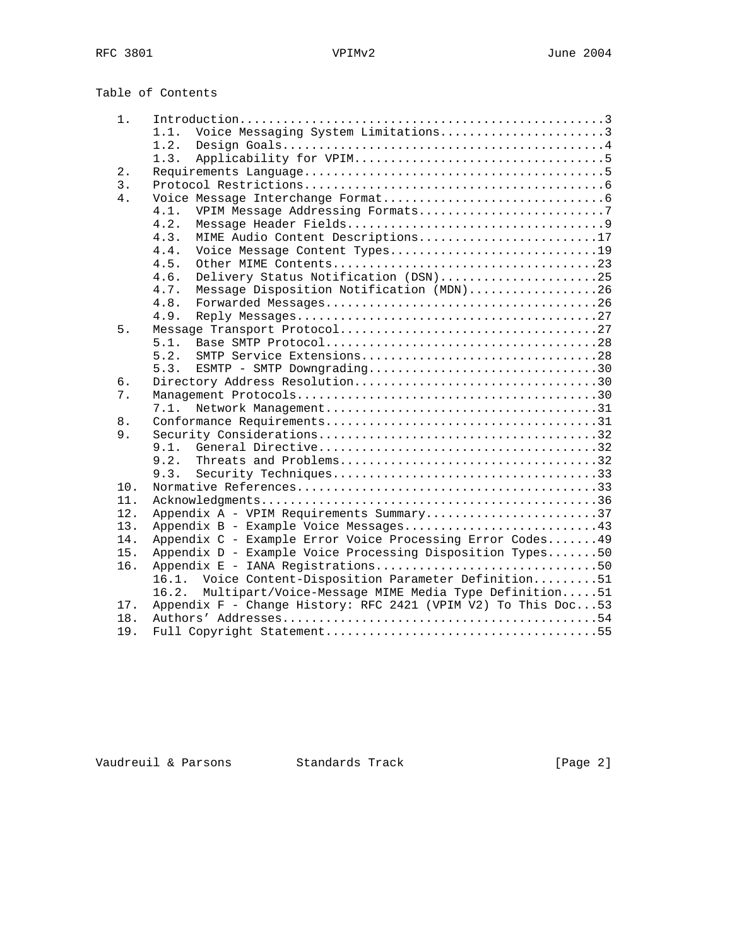Table of Contents

| 1.    |                                                               |
|-------|---------------------------------------------------------------|
|       | Voice Messaging System Limitations3<br>1.1.                   |
|       | 1.2.                                                          |
|       | 1.3.                                                          |
| 2.    |                                                               |
| 3.    |                                                               |
| 4.    |                                                               |
|       | 4.1.<br>VPIM Message Addressing Formats7                      |
|       | 4.2.                                                          |
|       | 4.3.<br>MIME Audio Content Descriptions17                     |
|       | 4.4.<br>Voice Message Content Types19                         |
|       | 4.5.                                                          |
|       | Delivery Status Notification (DSN)25<br>4.6.                  |
|       | 4.7.                                                          |
|       | Message Disposition Notification (MDN)26<br>4.8.              |
|       | 4.9.                                                          |
|       |                                                               |
| 5.    |                                                               |
|       | 5.1.                                                          |
|       | 5.2.                                                          |
|       | ESMTP - SMTP Downgrading30<br>5.3.                            |
| 6.    | Directory Address Resolution30                                |
| 7.    |                                                               |
|       | 7.1.                                                          |
| $8$ . |                                                               |
| 9.    |                                                               |
|       | 9.1                                                           |
|       | 9.2.<br>Threats and Problems32                                |
|       | 9.3.                                                          |
| 10.   |                                                               |
| 11.   |                                                               |
| 12.   | Appendix A - VPIM Requirements Summary37                      |
| 13.   | Appendix B - Example Voice Messages43                         |
| 14.   | Appendix C - Example Error Voice Processing Error Codes 49    |
| 15.   | Appendix D - Example Voice Processing Disposition Types50     |
| 16.   | Appendix E - IANA Registrations50                             |
|       | Voice Content-Disposition Parameter Definition51<br>16.1.     |
|       | Multipart/Voice-Message MIME Media Type Definition51<br>16.2. |
| 17.   | Appendix F - Change History: RFC 2421 (VPIM V2) To This Doc53 |
| 18.   |                                                               |
| 19.   |                                                               |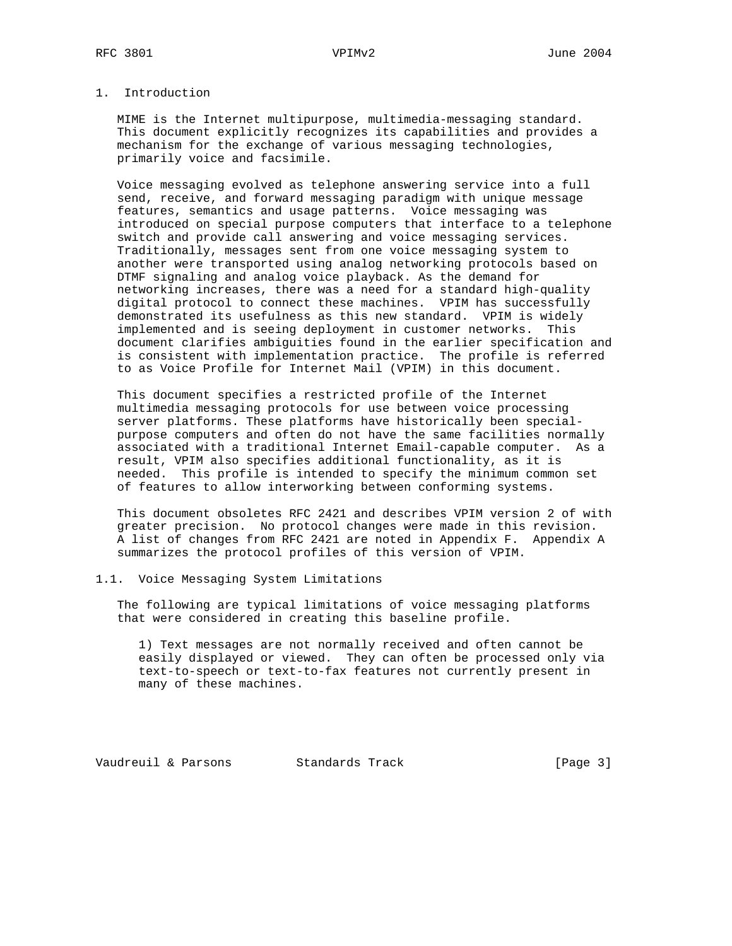# 1. Introduction

 MIME is the Internet multipurpose, multimedia-messaging standard. This document explicitly recognizes its capabilities and provides a mechanism for the exchange of various messaging technologies, primarily voice and facsimile.

 Voice messaging evolved as telephone answering service into a full send, receive, and forward messaging paradigm with unique message features, semantics and usage patterns. Voice messaging was introduced on special purpose computers that interface to a telephone switch and provide call answering and voice messaging services. Traditionally, messages sent from one voice messaging system to another were transported using analog networking protocols based on DTMF signaling and analog voice playback. As the demand for networking increases, there was a need for a standard high-quality digital protocol to connect these machines. VPIM has successfully demonstrated its usefulness as this new standard. VPIM is widely implemented and is seeing deployment in customer networks. This document clarifies ambiguities found in the earlier specification and is consistent with implementation practice. The profile is referred to as Voice Profile for Internet Mail (VPIM) in this document.

 This document specifies a restricted profile of the Internet multimedia messaging protocols for use between voice processing server platforms. These platforms have historically been special purpose computers and often do not have the same facilities normally associated with a traditional Internet Email-capable computer. As a result, VPIM also specifies additional functionality, as it is needed. This profile is intended to specify the minimum common set of features to allow interworking between conforming systems.

 This document obsoletes RFC 2421 and describes VPIM version 2 of with greater precision. No protocol changes were made in this revision. A list of changes from RFC 2421 are noted in Appendix F. Appendix A summarizes the protocol profiles of this version of VPIM.

#### 1.1. Voice Messaging System Limitations

 The following are typical limitations of voice messaging platforms that were considered in creating this baseline profile.

 1) Text messages are not normally received and often cannot be easily displayed or viewed. They can often be processed only via text-to-speech or text-to-fax features not currently present in many of these machines.

Vaudreuil & Parsons Standards Track [Page 3]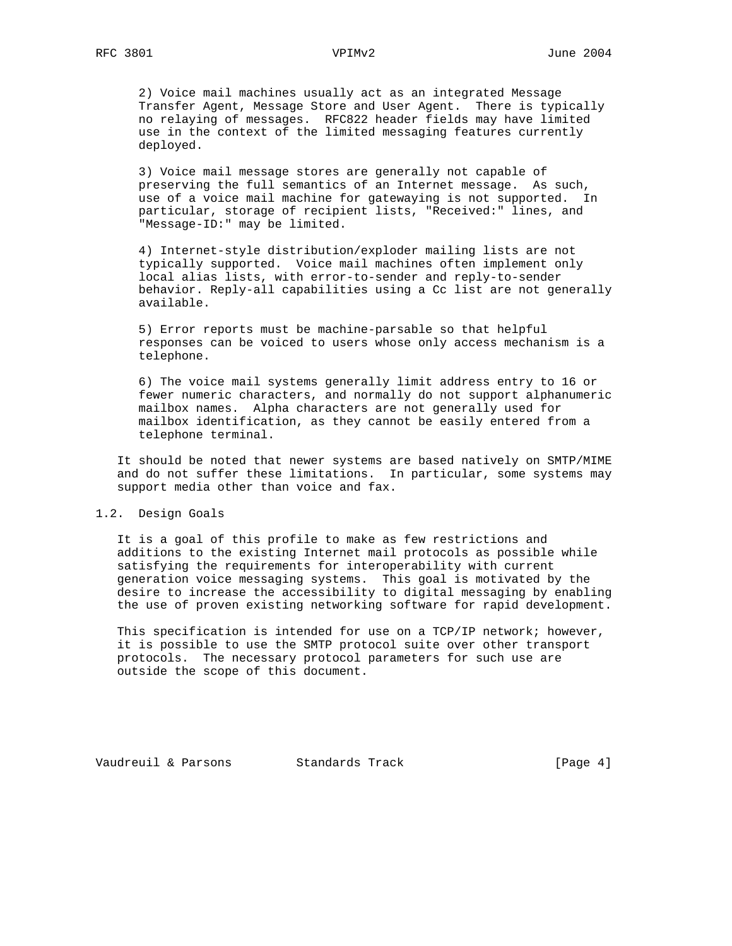2) Voice mail machines usually act as an integrated Message Transfer Agent, Message Store and User Agent. There is typically no relaying of messages. RFC822 header fields may have limited use in the context of the limited messaging features currently deployed.

 3) Voice mail message stores are generally not capable of preserving the full semantics of an Internet message. As such, use of a voice mail machine for gatewaying is not supported. In particular, storage of recipient lists, "Received:" lines, and "Message-ID:" may be limited.

 4) Internet-style distribution/exploder mailing lists are not typically supported. Voice mail machines often implement only local alias lists, with error-to-sender and reply-to-sender behavior. Reply-all capabilities using a Cc list are not generally available.

 5) Error reports must be machine-parsable so that helpful responses can be voiced to users whose only access mechanism is a telephone.

 6) The voice mail systems generally limit address entry to 16 or fewer numeric characters, and normally do not support alphanumeric mailbox names. Alpha characters are not generally used for mailbox identification, as they cannot be easily entered from a telephone terminal.

 It should be noted that newer systems are based natively on SMTP/MIME and do not suffer these limitations. In particular, some systems may support media other than voice and fax.

#### 1.2. Design Goals

 It is a goal of this profile to make as few restrictions and additions to the existing Internet mail protocols as possible while satisfying the requirements for interoperability with current generation voice messaging systems. This goal is motivated by the desire to increase the accessibility to digital messaging by enabling the use of proven existing networking software for rapid development.

 This specification is intended for use on a TCP/IP network; however, it is possible to use the SMTP protocol suite over other transport protocols. The necessary protocol parameters for such use are outside the scope of this document.

Vaudreuil & Parsons Standards Track (Page 4)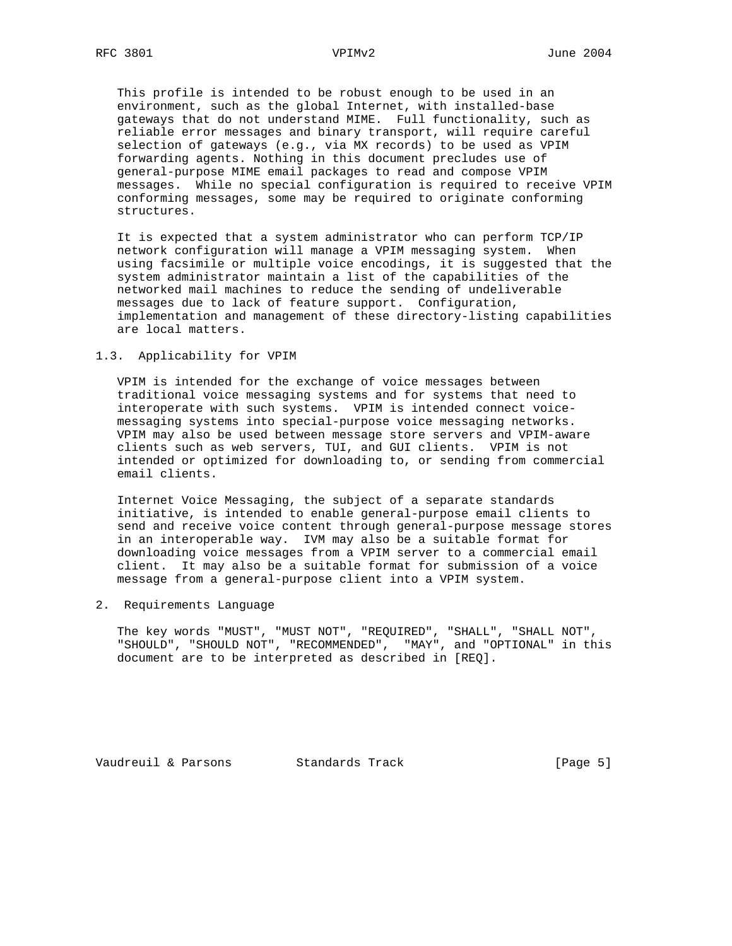This profile is intended to be robust enough to be used in an environment, such as the global Internet, with installed-base gateways that do not understand MIME. Full functionality, such as reliable error messages and binary transport, will require careful selection of gateways (e.g., via MX records) to be used as VPIM forwarding agents. Nothing in this document precludes use of general-purpose MIME email packages to read and compose VPIM messages. While no special configuration is required to receive VPIM conforming messages, some may be required to originate conforming structures.

 It is expected that a system administrator who can perform TCP/IP network configuration will manage a VPIM messaging system. When using facsimile or multiple voice encodings, it is suggested that the system administrator maintain a list of the capabilities of the networked mail machines to reduce the sending of undeliverable messages due to lack of feature support. Configuration, implementation and management of these directory-listing capabilities are local matters.

# 1.3. Applicability for VPIM

 VPIM is intended for the exchange of voice messages between traditional voice messaging systems and for systems that need to interoperate with such systems. VPIM is intended connect voice messaging systems into special-purpose voice messaging networks. VPIM may also be used between message store servers and VPIM-aware clients such as web servers, TUI, and GUI clients. VPIM is not intended or optimized for downloading to, or sending from commercial email clients.

 Internet Voice Messaging, the subject of a separate standards initiative, is intended to enable general-purpose email clients to send and receive voice content through general-purpose message stores in an interoperable way. IVM may also be a suitable format for downloading voice messages from a VPIM server to a commercial email client. It may also be a suitable format for submission of a voice message from a general-purpose client into a VPIM system.

2. Requirements Language

 The key words "MUST", "MUST NOT", "REQUIRED", "SHALL", "SHALL NOT", "SHOULD", "SHOULD NOT", "RECOMMENDED", "MAY", and "OPTIONAL" in this document are to be interpreted as described in [REQ].

Vaudreuil & Parsons Standards Track [Page 5]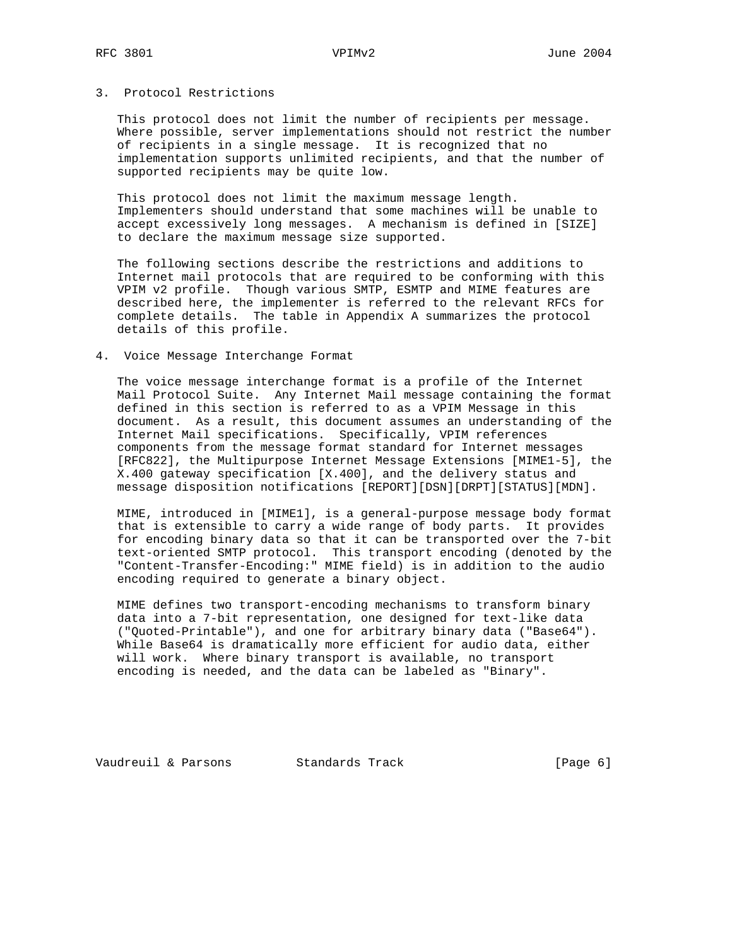# 3. Protocol Restrictions

 This protocol does not limit the number of recipients per message. Where possible, server implementations should not restrict the number of recipients in a single message. It is recognized that no implementation supports unlimited recipients, and that the number of supported recipients may be quite low.

 This protocol does not limit the maximum message length. Implementers should understand that some machines will be unable to accept excessively long messages. A mechanism is defined in [SIZE] to declare the maximum message size supported.

 The following sections describe the restrictions and additions to Internet mail protocols that are required to be conforming with this VPIM v2 profile. Though various SMTP, ESMTP and MIME features are described here, the implementer is referred to the relevant RFCs for complete details. The table in Appendix A summarizes the protocol details of this profile.

#### 4. Voice Message Interchange Format

 The voice message interchange format is a profile of the Internet Mail Protocol Suite. Any Internet Mail message containing the format defined in this section is referred to as a VPIM Message in this document. As a result, this document assumes an understanding of the Internet Mail specifications. Specifically, VPIM references components from the message format standard for Internet messages [RFC822], the Multipurpose Internet Message Extensions [MIME1-5], the X.400 gateway specification [X.400], and the delivery status and message disposition notifications [REPORT][DSN][DRPT][STATUS][MDN].

 MIME, introduced in [MIME1], is a general-purpose message body format that is extensible to carry a wide range of body parts. It provides for encoding binary data so that it can be transported over the 7-bit text-oriented SMTP protocol. This transport encoding (denoted by the "Content-Transfer-Encoding:" MIME field) is in addition to the audio encoding required to generate a binary object.

 MIME defines two transport-encoding mechanisms to transform binary data into a 7-bit representation, one designed for text-like data ("Quoted-Printable"), and one for arbitrary binary data ("Base64"). While Base64 is dramatically more efficient for audio data, either will work. Where binary transport is available, no transport encoding is needed, and the data can be labeled as "Binary".

Vaudreuil & Parsons Standards Track [Page 6]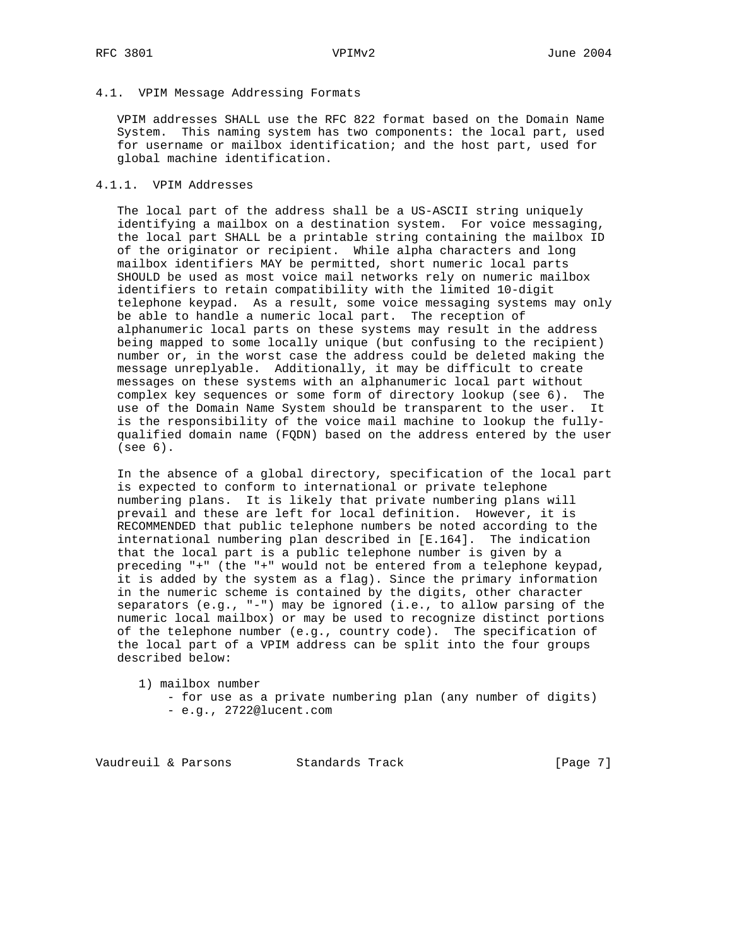# 4.1. VPIM Message Addressing Formats

 VPIM addresses SHALL use the RFC 822 format based on the Domain Name System. This naming system has two components: the local part, used for username or mailbox identification; and the host part, used for global machine identification.

# 4.1.1. VPIM Addresses

 The local part of the address shall be a US-ASCII string uniquely identifying a mailbox on a destination system. For voice messaging, the local part SHALL be a printable string containing the mailbox ID of the originator or recipient. While alpha characters and long mailbox identifiers MAY be permitted, short numeric local parts SHOULD be used as most voice mail networks rely on numeric mailbox identifiers to retain compatibility with the limited 10-digit telephone keypad. As a result, some voice messaging systems may only be able to handle a numeric local part. The reception of alphanumeric local parts on these systems may result in the address being mapped to some locally unique (but confusing to the recipient) number or, in the worst case the address could be deleted making the message unreplyable. Additionally, it may be difficult to create messages on these systems with an alphanumeric local part without complex key sequences or some form of directory lookup (see 6). The use of the Domain Name System should be transparent to the user. It is the responsibility of the voice mail machine to lookup the fully qualified domain name (FQDN) based on the address entered by the user (see 6).

 In the absence of a global directory, specification of the local part is expected to conform to international or private telephone numbering plans. It is likely that private numbering plans will prevail and these are left for local definition. However, it is RECOMMENDED that public telephone numbers be noted according to the international numbering plan described in [E.164]. The indication that the local part is a public telephone number is given by a preceding "+" (the "+" would not be entered from a telephone keypad, it is added by the system as a flag). Since the primary information in the numeric scheme is contained by the digits, other character separators (e.g., "-") may be ignored (i.e., to allow parsing of the numeric local mailbox) or may be used to recognize distinct portions of the telephone number (e.g., country code). The specification of the local part of a VPIM address can be split into the four groups described below:

1) mailbox number

 - for use as a private numbering plan (any number of digits) - e.g., 2722@lucent.com

Vaudreuil & Parsons Standards Track (Page 7)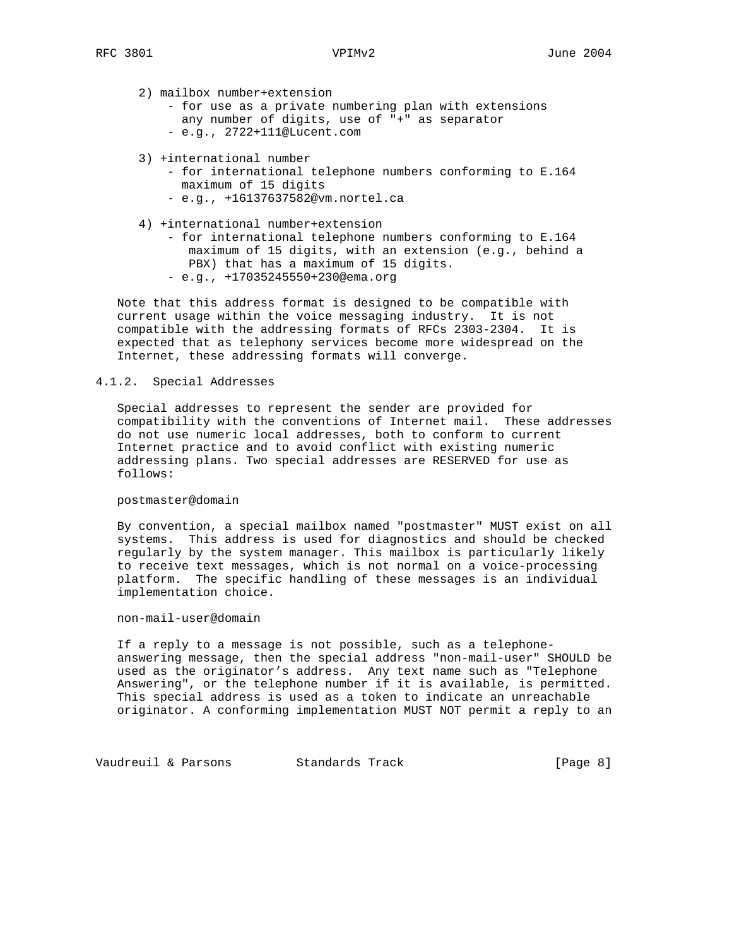## 2) mailbox number+extension

```
 - for use as a private numbering plan with extensions
   any number of digits, use of "+" as separator
 - e.g., 2722+111@Lucent.com
```
- 3) +international number
	- for international telephone numbers conforming to E.164 maximum of 15 digits - e.g., +16137637582@vm.nortel.ca
- 4) +international number+extension
	- for international telephone numbers conforming to E.164 maximum of 15 digits, with an extension (e.g., behind a PBX) that has a maximum of 15 digits. - e.g., +17035245550+230@ema.org

 Note that this address format is designed to be compatible with current usage within the voice messaging industry. It is not compatible with the addressing formats of RFCs 2303-2304. It is expected that as telephony services become more widespread on the Internet, these addressing formats will converge.

# 4.1.2. Special Addresses

 Special addresses to represent the sender are provided for compatibility with the conventions of Internet mail. These addresses do not use numeric local addresses, both to conform to current Internet practice and to avoid conflict with existing numeric addressing plans. Two special addresses are RESERVED for use as follows:

#### postmaster@domain

 By convention, a special mailbox named "postmaster" MUST exist on all systems. This address is used for diagnostics and should be checked regularly by the system manager. This mailbox is particularly likely to receive text messages, which is not normal on a voice-processing platform. The specific handling of these messages is an individual implementation choice.

### non-mail-user@domain

 If a reply to a message is not possible, such as a telephone answering message, then the special address "non-mail-user" SHOULD be used as the originator's address. Any text name such as "Telephone Answering", or the telephone number if it is available, is permitted. This special address is used as a token to indicate an unreachable originator. A conforming implementation MUST NOT permit a reply to an

Vaudreuil & Parsons Standards Track [Page 8]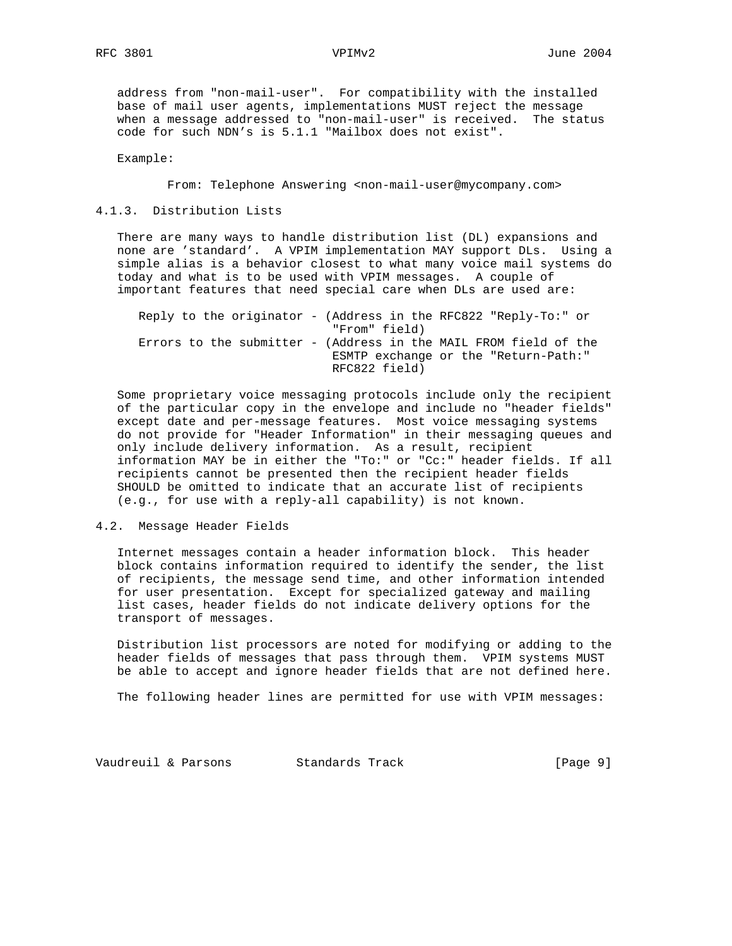address from "non-mail-user". For compatibility with the installed base of mail user agents, implementations MUST reject the message when a message addressed to "non-mail-user" is received. The status code for such NDN's is 5.1.1 "Mailbox does not exist".

Example:

From: Telephone Answering <non-mail-user@mycompany.com>

# 4.1.3. Distribution Lists

 There are many ways to handle distribution list (DL) expansions and none are 'standard'. A VPIM implementation MAY support DLs. Using a simple alias is a behavior closest to what many voice mail systems do today and what is to be used with VPIM messages. A couple of important features that need special care when DLs are used are:

|  |  | Reply to the originator - (Address in the RFC822 "Reply-To:" or  |                                      |  |  |  |  |
|--|--|------------------------------------------------------------------|--------------------------------------|--|--|--|--|
|  |  |                                                                  | "From" field)                        |  |  |  |  |
|  |  | Errors to the submitter - (Address in the MAIL FROM field of the |                                      |  |  |  |  |
|  |  |                                                                  | ESMTP exchange or the "Return-Path:" |  |  |  |  |
|  |  |                                                                  | RFC822 field)                        |  |  |  |  |

 Some proprietary voice messaging protocols include only the recipient of the particular copy in the envelope and include no "header fields" except date and per-message features. Most voice messaging systems do not provide for "Header Information" in their messaging queues and only include delivery information. As a result, recipient information MAY be in either the "To:" or "Cc:" header fields. If all recipients cannot be presented then the recipient header fields SHOULD be omitted to indicate that an accurate list of recipients (e.g., for use with a reply-all capability) is not known.

## 4.2. Message Header Fields

 Internet messages contain a header information block. This header block contains information required to identify the sender, the list of recipients, the message send time, and other information intended for user presentation. Except for specialized gateway and mailing list cases, header fields do not indicate delivery options for the transport of messages.

 Distribution list processors are noted for modifying or adding to the header fields of messages that pass through them. VPIM systems MUST be able to accept and ignore header fields that are not defined here.

The following header lines are permitted for use with VPIM messages:

Vaudreuil & Parsons Standards Track [Page 9]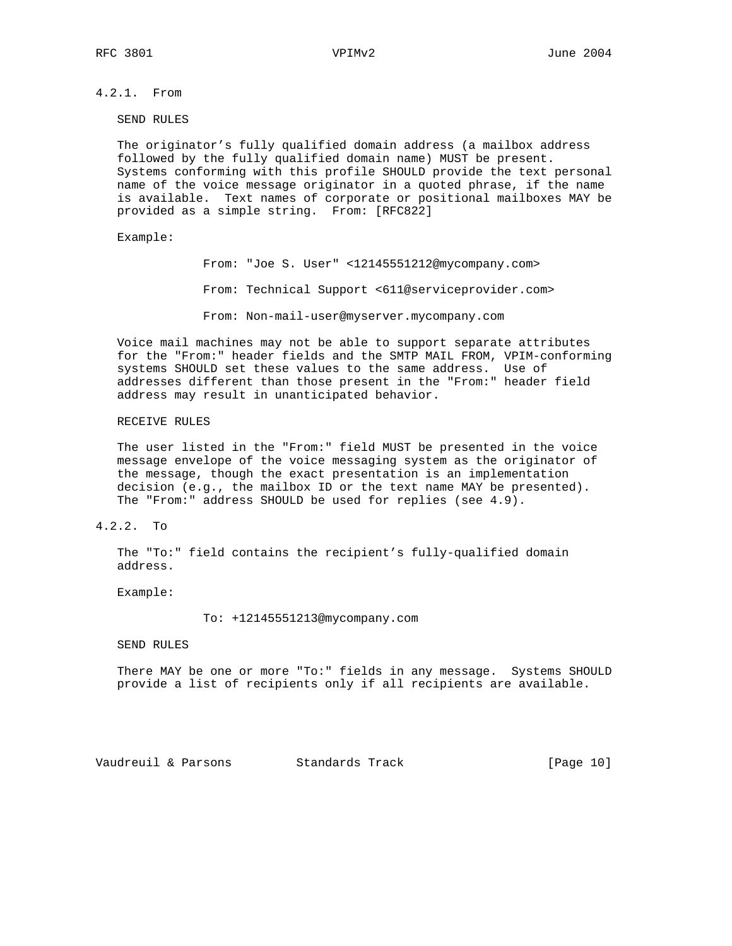4.2.1. From

SEND RULES

 The originator's fully qualified domain address (a mailbox address followed by the fully qualified domain name) MUST be present. Systems conforming with this profile SHOULD provide the text personal name of the voice message originator in a quoted phrase, if the name is available. Text names of corporate or positional mailboxes MAY be provided as a simple string. From: [RFC822]

## Example:

 From: "Joe S. User" <12145551212@mycompany.com> From: Technical Support <611@serviceprovider.com> From: Non-mail-user@myserver.mycompany.com

 Voice mail machines may not be able to support separate attributes for the "From:" header fields and the SMTP MAIL FROM, VPIM-conforming systems SHOULD set these values to the same address. Use of addresses different than those present in the "From:" header field address may result in unanticipated behavior.

## RECEIVE RULES

 The user listed in the "From:" field MUST be presented in the voice message envelope of the voice messaging system as the originator of the message, though the exact presentation is an implementation decision (e.g., the mailbox ID or the text name MAY be presented). The "From:" address SHOULD be used for replies (see 4.9).

# 4.2.2. To

 The "To:" field contains the recipient's fully-qualified domain address.

Example:

To: +12145551213@mycompany.com

SEND RULES

 There MAY be one or more "To:" fields in any message. Systems SHOULD provide a list of recipients only if all recipients are available.

Vaudreuil & Parsons Standards Track [Page 10]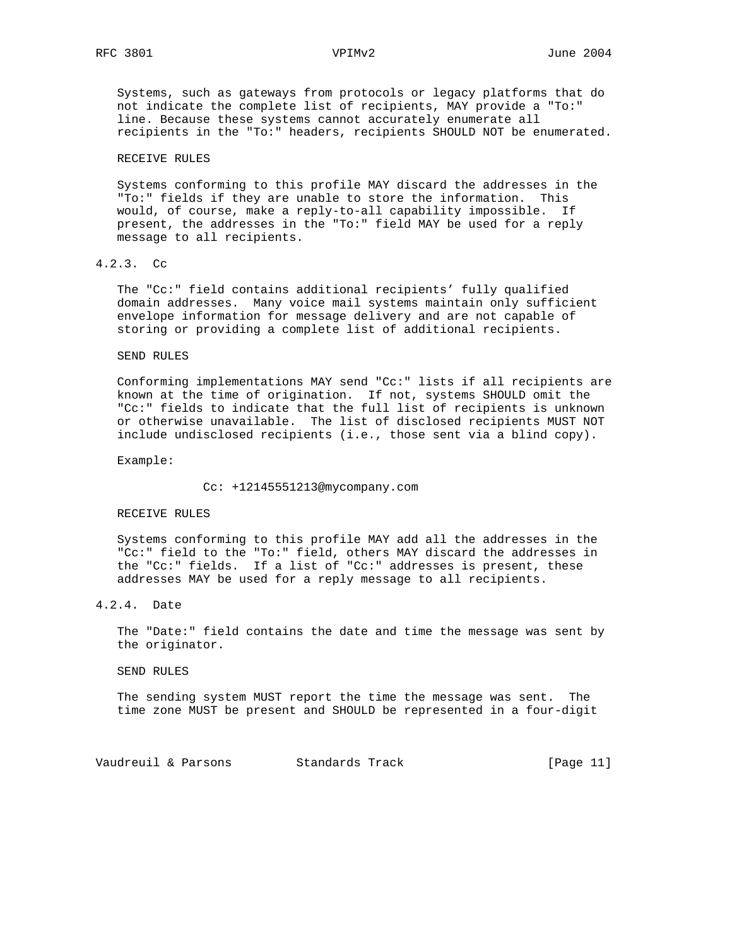Systems, such as gateways from protocols or legacy platforms that do not indicate the complete list of recipients, MAY provide a "To:" line. Because these systems cannot accurately enumerate all recipients in the "To:" headers, recipients SHOULD NOT be enumerated.

### RECEIVE RULES

 Systems conforming to this profile MAY discard the addresses in the "To:" fields if they are unable to store the information. This would, of course, make a reply-to-all capability impossible. If present, the addresses in the "To:" field MAY be used for a reply message to all recipients.

# 4.2.3. Cc

 The "Cc:" field contains additional recipients' fully qualified domain addresses. Many voice mail systems maintain only sufficient envelope information for message delivery and are not capable of storing or providing a complete list of additional recipients.

### SEND RULES

 Conforming implementations MAY send "Cc:" lists if all recipients are known at the time of origination. If not, systems SHOULD omit the "Cc:" fields to indicate that the full list of recipients is unknown or otherwise unavailable. The list of disclosed recipients MUST NOT include undisclosed recipients (i.e., those sent via a blind copy).

Example:

Cc: +12145551213@mycompany.com

### RECEIVE RULES

 Systems conforming to this profile MAY add all the addresses in the "Cc:" field to the "To:" field, others MAY discard the addresses in the "Cc:" fields. If a list of "Cc:" addresses is present, these addresses MAY be used for a reply message to all recipients.

# 4.2.4. Date

 The "Date:" field contains the date and time the message was sent by the originator.

SEND RULES

 The sending system MUST report the time the message was sent. The time zone MUST be present and SHOULD be represented in a four-digit

Vaudreuil & Parsons Standards Track [Page 11]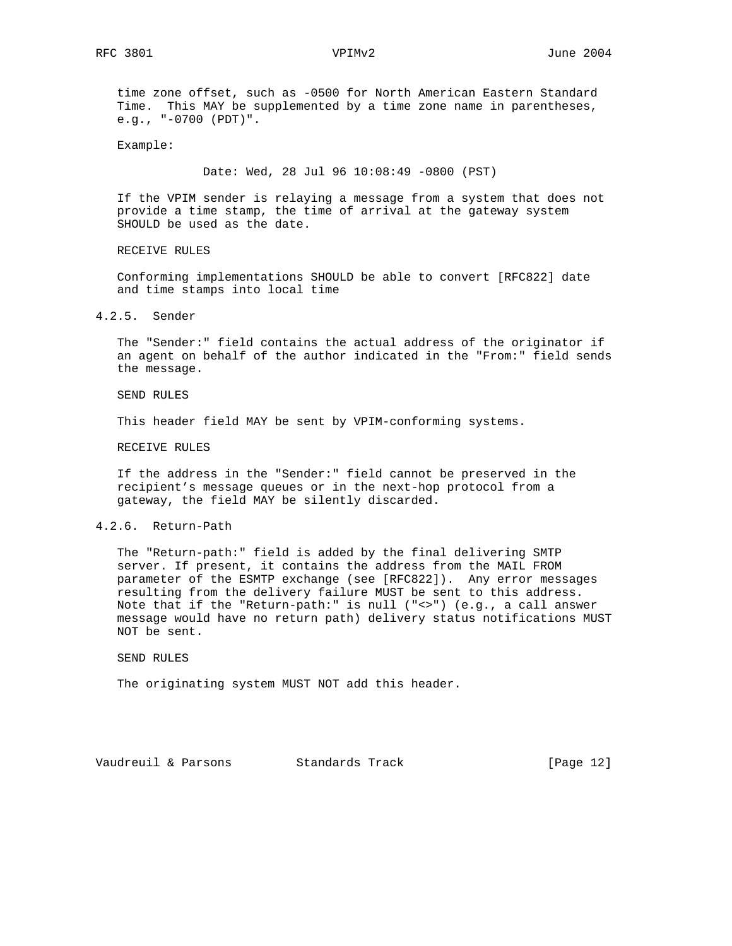time zone offset, such as -0500 for North American Eastern Standard Time. This MAY be supplemented by a time zone name in parentheses, e.g., "-0700 (PDT)".

Example:

Date: Wed, 28 Jul 96 10:08:49 -0800 (PST)

 If the VPIM sender is relaying a message from a system that does not provide a time stamp, the time of arrival at the gateway system SHOULD be used as the date.

RECEIVE RULES

 Conforming implementations SHOULD be able to convert [RFC822] date and time stamps into local time

# 4.2.5. Sender

 The "Sender:" field contains the actual address of the originator if an agent on behalf of the author indicated in the "From:" field sends the message.

SEND RULES

This header field MAY be sent by VPIM-conforming systems.

RECEIVE RULES

 If the address in the "Sender:" field cannot be preserved in the recipient's message queues or in the next-hop protocol from a gateway, the field MAY be silently discarded.

## 4.2.6. Return-Path

 The "Return-path:" field is added by the final delivering SMTP server. If present, it contains the address from the MAIL FROM parameter of the ESMTP exchange (see [RFC822]). Any error messages resulting from the delivery failure MUST be sent to this address. Note that if the "Return-path:" is null ("<>") (e.g., a call answer message would have no return path) delivery status notifications MUST NOT be sent.

SEND RULES

The originating system MUST NOT add this header.

Vaudreuil & Parsons Standards Track [Page 12]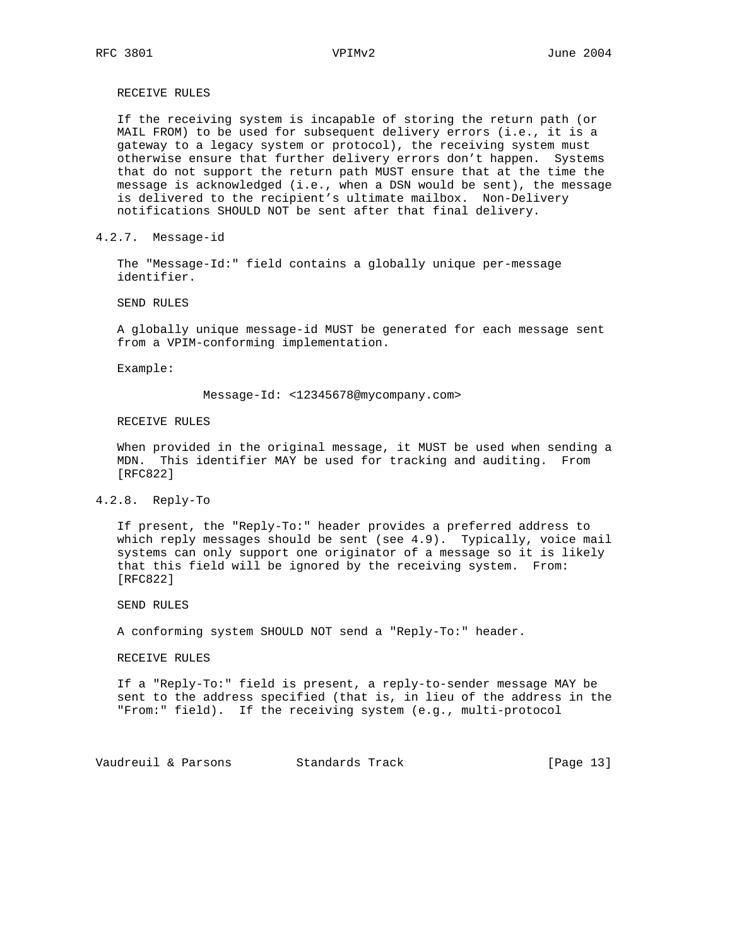RECEIVE RULES

 If the receiving system is incapable of storing the return path (or MAIL FROM) to be used for subsequent delivery errors (i.e., it is a gateway to a legacy system or protocol), the receiving system must otherwise ensure that further delivery errors don't happen. Systems that do not support the return path MUST ensure that at the time the message is acknowledged (i.e., when a DSN would be sent), the message is delivered to the recipient's ultimate mailbox. Non-Delivery notifications SHOULD NOT be sent after that final delivery.

4.2.7. Message-id

 The "Message-Id:" field contains a globally unique per-message identifier.

SEND RULES

 A globally unique message-id MUST be generated for each message sent from a VPIM-conforming implementation.

Example:

Message-Id: <12345678@mycompany.com>

RECEIVE RULES

 When provided in the original message, it MUST be used when sending a MDN. This identifier MAY be used for tracking and auditing. From [RFC822]

### 4.2.8. Reply-To

 If present, the "Reply-To:" header provides a preferred address to which reply messages should be sent (see 4.9). Typically, voice mail systems can only support one originator of a message so it is likely that this field will be ignored by the receiving system. From: [RFC822]

SEND RULES

A conforming system SHOULD NOT send a "Reply-To:" header.

RECEIVE RULES

 If a "Reply-To:" field is present, a reply-to-sender message MAY be sent to the address specified (that is, in lieu of the address in the "From:" field). If the receiving system (e.g., multi-protocol

Vaudreuil & Parsons Standards Track [Page 13]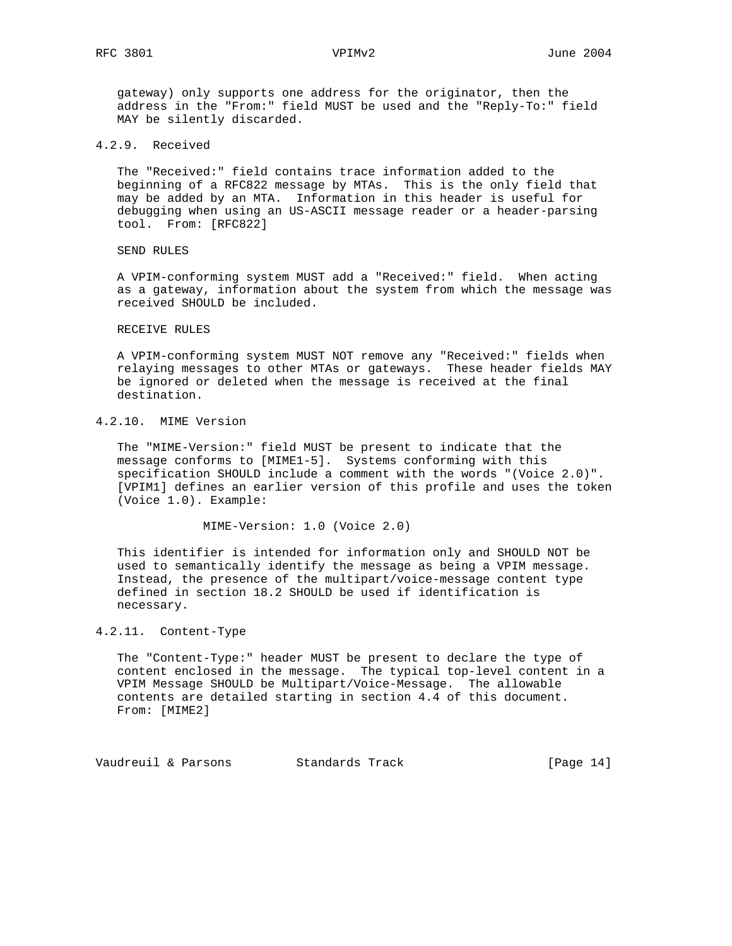gateway) only supports one address for the originator, then the address in the "From:" field MUST be used and the "Reply-To:" field MAY be silently discarded.

4.2.9. Received

 The "Received:" field contains trace information added to the beginning of a RFC822 message by MTAs. This is the only field that may be added by an MTA. Information in this header is useful for debugging when using an US-ASCII message reader or a header-parsing tool. From: [RFC822]

SEND RULES

 A VPIM-conforming system MUST add a "Received:" field. When acting as a gateway, information about the system from which the message was received SHOULD be included.

### RECEIVE RULES

 A VPIM-conforming system MUST NOT remove any "Received:" fields when relaying messages to other MTAs or gateways. These header fields MAY be ignored or deleted when the message is received at the final destination.

# 4.2.10. MIME Version

 The "MIME-Version:" field MUST be present to indicate that the message conforms to [MIME1-5]. Systems conforming with this specification SHOULD include a comment with the words "(Voice 2.0)". [VPIM1] defines an earlier version of this profile and uses the token (Voice 1.0). Example:

MIME-Version: 1.0 (Voice 2.0)

 This identifier is intended for information only and SHOULD NOT be used to semantically identify the message as being a VPIM message. Instead, the presence of the multipart/voice-message content type defined in section 18.2 SHOULD be used if identification is necessary.

# 4.2.11. Content-Type

 The "Content-Type:" header MUST be present to declare the type of content enclosed in the message. The typical top-level content in a VPIM Message SHOULD be Multipart/Voice-Message. The allowable contents are detailed starting in section 4.4 of this document. From: [MIME2]

Vaudreuil & Parsons Standards Track [Page 14]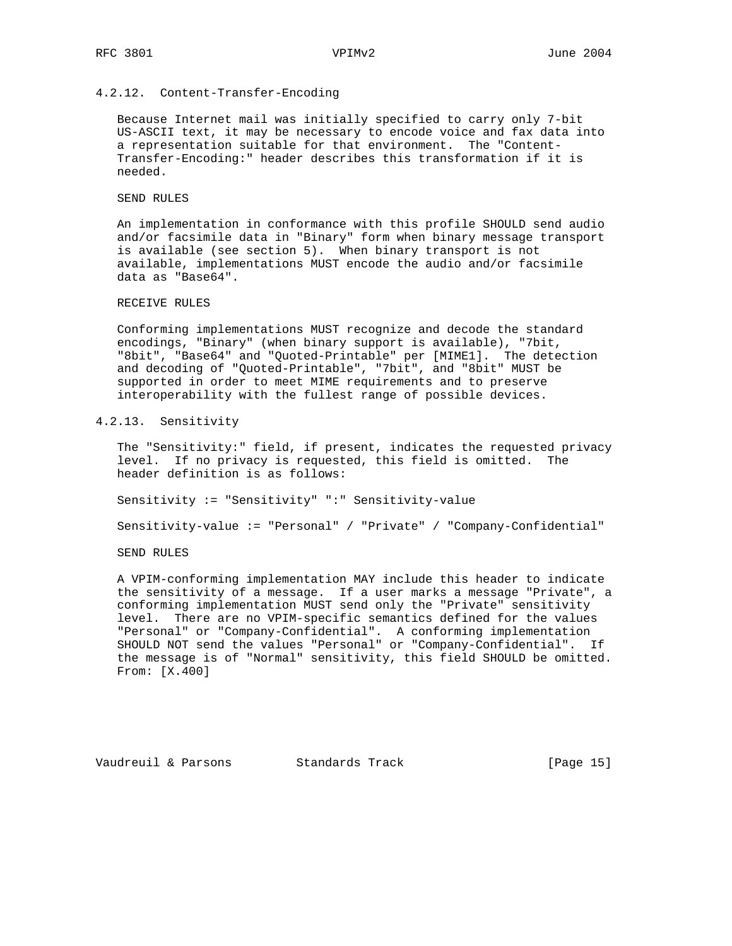# 4.2.12. Content-Transfer-Encoding

 Because Internet mail was initially specified to carry only 7-bit US-ASCII text, it may be necessary to encode voice and fax data into a representation suitable for that environment. The "Content- Transfer-Encoding:" header describes this transformation if it is needed.

### SEND RULES

 An implementation in conformance with this profile SHOULD send audio and/or facsimile data in "Binary" form when binary message transport is available (see section 5). When binary transport is not available, implementations MUST encode the audio and/or facsimile data as "Base64".

# RECEIVE RULES

 Conforming implementations MUST recognize and decode the standard encodings, "Binary" (when binary support is available), "7bit, "8bit", "Base64" and "Quoted-Printable" per [MIME1]. The detection and decoding of "Quoted-Printable", "7bit", and "8bit" MUST be supported in order to meet MIME requirements and to preserve interoperability with the fullest range of possible devices.

# 4.2.13. Sensitivity

 The "Sensitivity:" field, if present, indicates the requested privacy level. If no privacy is requested, this field is omitted. The header definition is as follows:

Sensitivity := "Sensitivity" ":" Sensitivity-value

Sensitivity-value := "Personal" / "Private" / "Company-Confidential"

SEND RULES

 A VPIM-conforming implementation MAY include this header to indicate the sensitivity of a message. If a user marks a message "Private", a conforming implementation MUST send only the "Private" sensitivity level. There are no VPIM-specific semantics defined for the values "Personal" or "Company-Confidential". A conforming implementation SHOULD NOT send the values "Personal" or "Company-Confidential". If the message is of "Normal" sensitivity, this field SHOULD be omitted. From: [X.400]

Vaudreuil & Parsons Standards Track [Page 15]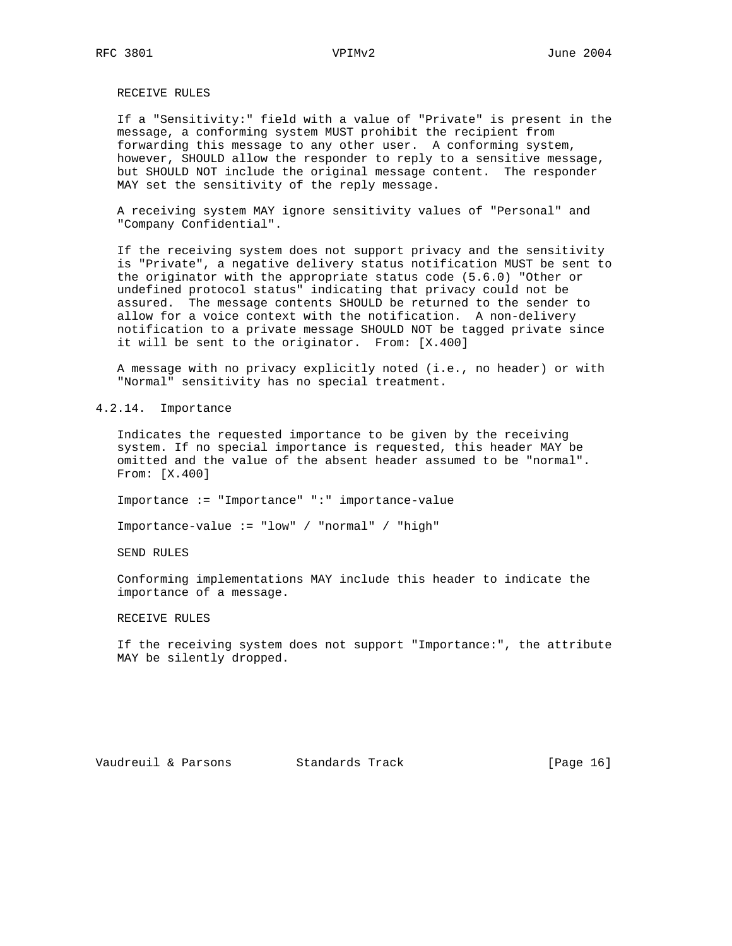# RECEIVE RULES

 If a "Sensitivity:" field with a value of "Private" is present in the message, a conforming system MUST prohibit the recipient from forwarding this message to any other user. A conforming system, however, SHOULD allow the responder to reply to a sensitive message, but SHOULD NOT include the original message content. The responder MAY set the sensitivity of the reply message.

 A receiving system MAY ignore sensitivity values of "Personal" and "Company Confidential".

 If the receiving system does not support privacy and the sensitivity is "Private", a negative delivery status notification MUST be sent to the originator with the appropriate status code (5.6.0) "Other or undefined protocol status" indicating that privacy could not be assured. The message contents SHOULD be returned to the sender to allow for a voice context with the notification. A non-delivery notification to a private message SHOULD NOT be tagged private since it will be sent to the originator. From: [X.400]

 A message with no privacy explicitly noted (i.e., no header) or with "Normal" sensitivity has no special treatment.

4.2.14. Importance

 Indicates the requested importance to be given by the receiving system. If no special importance is requested, this header MAY be omitted and the value of the absent header assumed to be "normal". From: [X.400]

Importance := "Importance" ":" importance-value

Importance-value := "low" / "normal" / "high"

SEND RULES

 Conforming implementations MAY include this header to indicate the importance of a message.

RECEIVE RULES

 If the receiving system does not support "Importance:", the attribute MAY be silently dropped.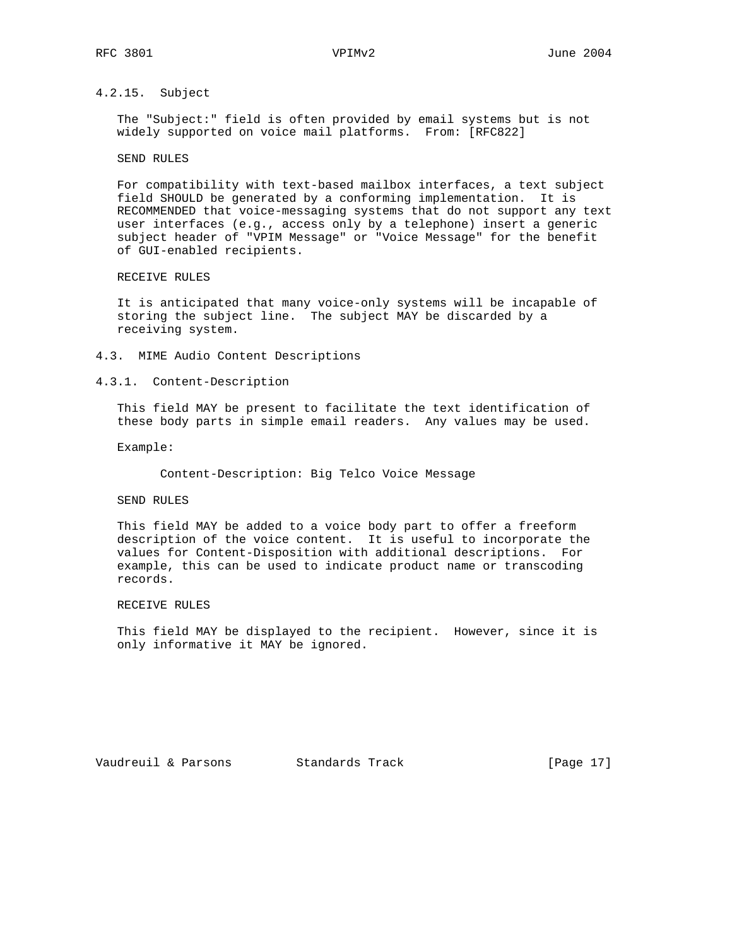# 4.2.15. Subject

 The "Subject:" field is often provided by email systems but is not widely supported on voice mail platforms. From: [RFC822]

### SEND RULES

 For compatibility with text-based mailbox interfaces, a text subject field SHOULD be generated by a conforming implementation. It is RECOMMENDED that voice-messaging systems that do not support any text user interfaces (e.g., access only by a telephone) insert a generic subject header of "VPIM Message" or "Voice Message" for the benefit of GUI-enabled recipients.

## RECEIVE RULES

 It is anticipated that many voice-only systems will be incapable of storing the subject line. The subject MAY be discarded by a receiving system.

- 4.3. MIME Audio Content Descriptions
- 4.3.1. Content-Description

 This field MAY be present to facilitate the text identification of these body parts in simple email readers. Any values may be used.

Example:

Content-Description: Big Telco Voice Message

SEND RULES

 This field MAY be added to a voice body part to offer a freeform description of the voice content. It is useful to incorporate the values for Content-Disposition with additional descriptions. For example, this can be used to indicate product name or transcoding records.

### RECEIVE RULES

 This field MAY be displayed to the recipient. However, since it is only informative it MAY be ignored.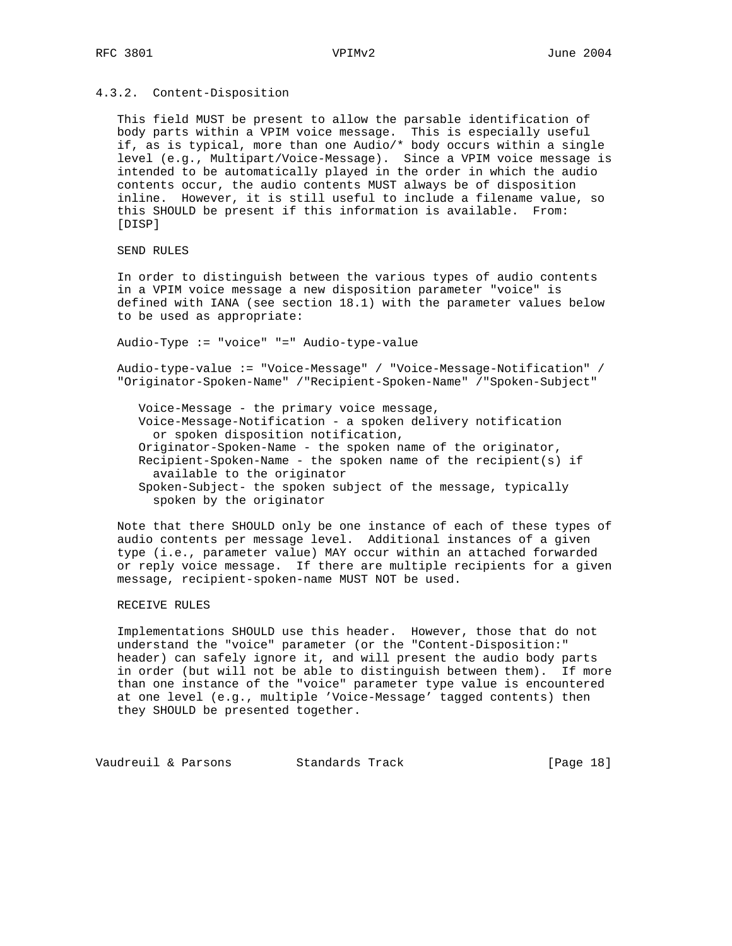### 4.3.2. Content-Disposition

 This field MUST be present to allow the parsable identification of body parts within a VPIM voice message. This is especially useful if, as is typical, more than one Audio/\* body occurs within a single level (e.g., Multipart/Voice-Message). Since a VPIM voice message is intended to be automatically played in the order in which the audio contents occur, the audio contents MUST always be of disposition inline. However, it is still useful to include a filename value, so this SHOULD be present if this information is available. From: [DISP]

SEND RULES

 In order to distinguish between the various types of audio contents in a VPIM voice message a new disposition parameter "voice" is defined with IANA (see section 18.1) with the parameter values below to be used as appropriate:

Audio-Type := "voice" "=" Audio-type-value

 Audio-type-value := "Voice-Message" / "Voice-Message-Notification" / "Originator-Spoken-Name" /"Recipient-Spoken-Name" /"Spoken-Subject"

 Voice-Message - the primary voice message, Voice-Message-Notification - a spoken delivery notification or spoken disposition notification, Originator-Spoken-Name - the spoken name of the originator, Recipient-Spoken-Name - the spoken name of the recipient(s) if available to the originator Spoken-Subject- the spoken subject of the message, typically spoken by the originator

 Note that there SHOULD only be one instance of each of these types of audio contents per message level. Additional instances of a given type (i.e., parameter value) MAY occur within an attached forwarded or reply voice message. If there are multiple recipients for a given message, recipient-spoken-name MUST NOT be used.

# RECEIVE RULES

 Implementations SHOULD use this header. However, those that do not understand the "voice" parameter (or the "Content-Disposition:" header) can safely ignore it, and will present the audio body parts in order (but will not be able to distinguish between them). If more than one instance of the "voice" parameter type value is encountered at one level (e.g., multiple 'Voice-Message' tagged contents) then they SHOULD be presented together.

Vaudreuil & Parsons Standards Track [Page 18]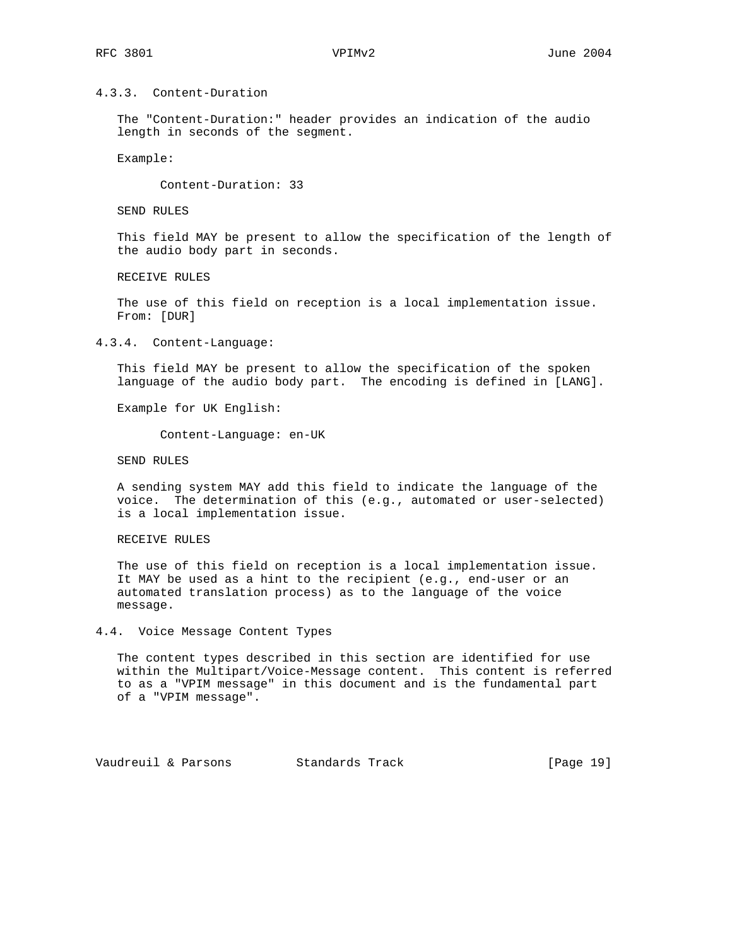# 4.3.3. Content-Duration

 The "Content-Duration:" header provides an indication of the audio length in seconds of the segment.

Example:

Content-Duration: 33

SEND RULES

 This field MAY be present to allow the specification of the length of the audio body part in seconds.

RECEIVE RULES

 The use of this field on reception is a local implementation issue. From: [DUR]

4.3.4. Content-Language:

 This field MAY be present to allow the specification of the spoken language of the audio body part. The encoding is defined in [LANG].

Example for UK English:

Content-Language: en-UK

SEND RULES

 A sending system MAY add this field to indicate the language of the voice. The determination of this (e.g., automated or user-selected) is a local implementation issue.

RECEIVE RULES

 The use of this field on reception is a local implementation issue. It MAY be used as a hint to the recipient (e.g., end-user or an automated translation process) as to the language of the voice message.

4.4. Voice Message Content Types

 The content types described in this section are identified for use within the Multipart/Voice-Message content. This content is referred to as a "VPIM message" in this document and is the fundamental part of a "VPIM message".

Vaudreuil & Parsons Standards Track [Page 19]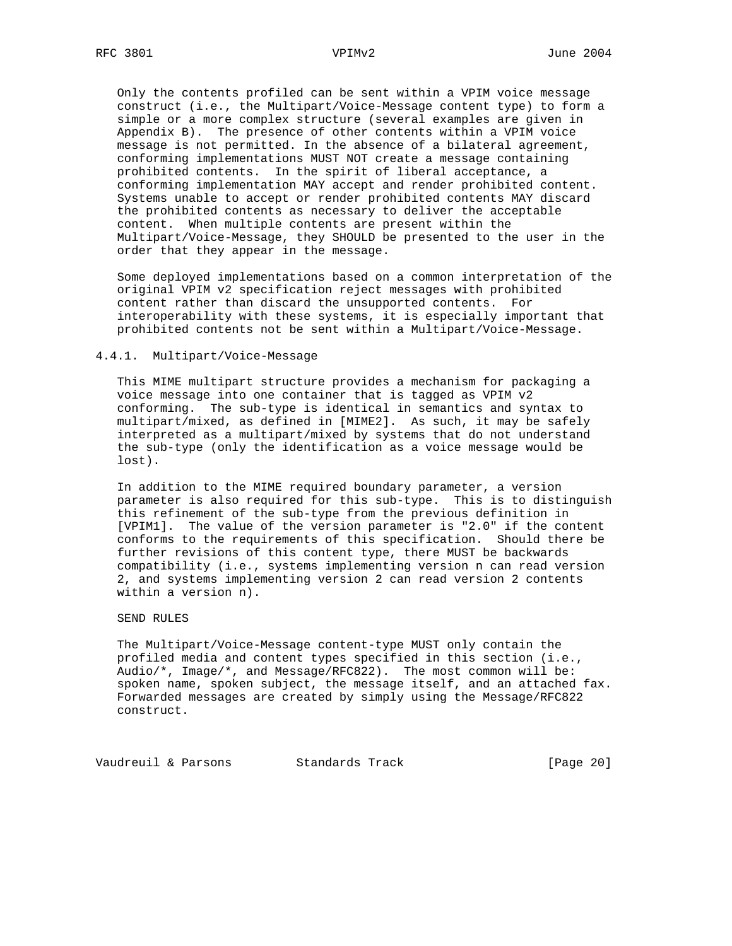Only the contents profiled can be sent within a VPIM voice message construct (i.e., the Multipart/Voice-Message content type) to form a simple or a more complex structure (several examples are given in Appendix B). The presence of other contents within a VPIM voice message is not permitted. In the absence of a bilateral agreement, conforming implementations MUST NOT create a message containing prohibited contents. In the spirit of liberal acceptance, a conforming implementation MAY accept and render prohibited content. Systems unable to accept or render prohibited contents MAY discard the prohibited contents as necessary to deliver the acceptable content. When multiple contents are present within the Multipart/Voice-Message, they SHOULD be presented to the user in the order that they appear in the message.

 Some deployed implementations based on a common interpretation of the original VPIM v2 specification reject messages with prohibited content rather than discard the unsupported contents. For interoperability with these systems, it is especially important that prohibited contents not be sent within a Multipart/Voice-Message.

#### 4.4.1. Multipart/Voice-Message

 This MIME multipart structure provides a mechanism for packaging a voice message into one container that is tagged as VPIM v2 conforming. The sub-type is identical in semantics and syntax to multipart/mixed, as defined in [MIME2]. As such, it may be safely interpreted as a multipart/mixed by systems that do not understand the sub-type (only the identification as a voice message would be lost).

 In addition to the MIME required boundary parameter, a version parameter is also required for this sub-type. This is to distinguish this refinement of the sub-type from the previous definition in [VPIM1]. The value of the version parameter is "2.0" if the content conforms to the requirements of this specification. Should there be further revisions of this content type, there MUST be backwards compatibility (i.e., systems implementing version n can read version 2, and systems implementing version 2 can read version 2 contents within a version n).

#### SEND RULES

 The Multipart/Voice-Message content-type MUST only contain the profiled media and content types specified in this section (i.e., Audio/\*, Image/\*, and Message/RFC822). The most common will be: spoken name, spoken subject, the message itself, and an attached fax. Forwarded messages are created by simply using the Message/RFC822 construct.

Vaudreuil & Parsons Standards Track [Page 20]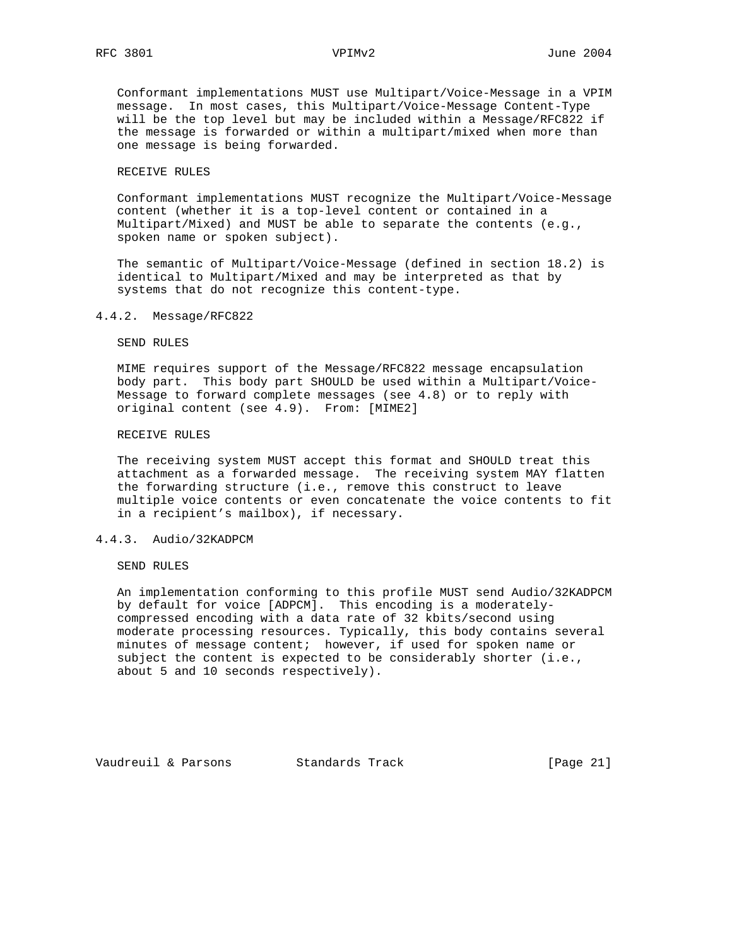Conformant implementations MUST use Multipart/Voice-Message in a VPIM message. In most cases, this Multipart/Voice-Message Content-Type will be the top level but may be included within a Message/RFC822 if the message is forwarded or within a multipart/mixed when more than one message is being forwarded.

## RECEIVE RULES

 Conformant implementations MUST recognize the Multipart/Voice-Message content (whether it is a top-level content or contained in a Multipart/Mixed) and MUST be able to separate the contents (e.g., spoken name or spoken subject).

 The semantic of Multipart/Voice-Message (defined in section 18.2) is identical to Multipart/Mixed and may be interpreted as that by systems that do not recognize this content-type.

### 4.4.2. Message/RFC822

SEND RULES

 MIME requires support of the Message/RFC822 message encapsulation body part. This body part SHOULD be used within a Multipart/Voice- Message to forward complete messages (see 4.8) or to reply with original content (see 4.9). From: [MIME2]

### RECEIVE RULES

 The receiving system MUST accept this format and SHOULD treat this attachment as a forwarded message. The receiving system MAY flatten the forwarding structure (i.e., remove this construct to leave multiple voice contents or even concatenate the voice contents to fit in a recipient's mailbox), if necessary.

### 4.4.3. Audio/32KADPCM

SEND RULES

 An implementation conforming to this profile MUST send Audio/32KADPCM by default for voice [ADPCM]. This encoding is a moderately compressed encoding with a data rate of 32 kbits/second using moderate processing resources. Typically, this body contains several minutes of message content; however, if used for spoken name or subject the content is expected to be considerably shorter (i.e., about 5 and 10 seconds respectively).

Vaudreuil & Parsons Standards Track [Page 21]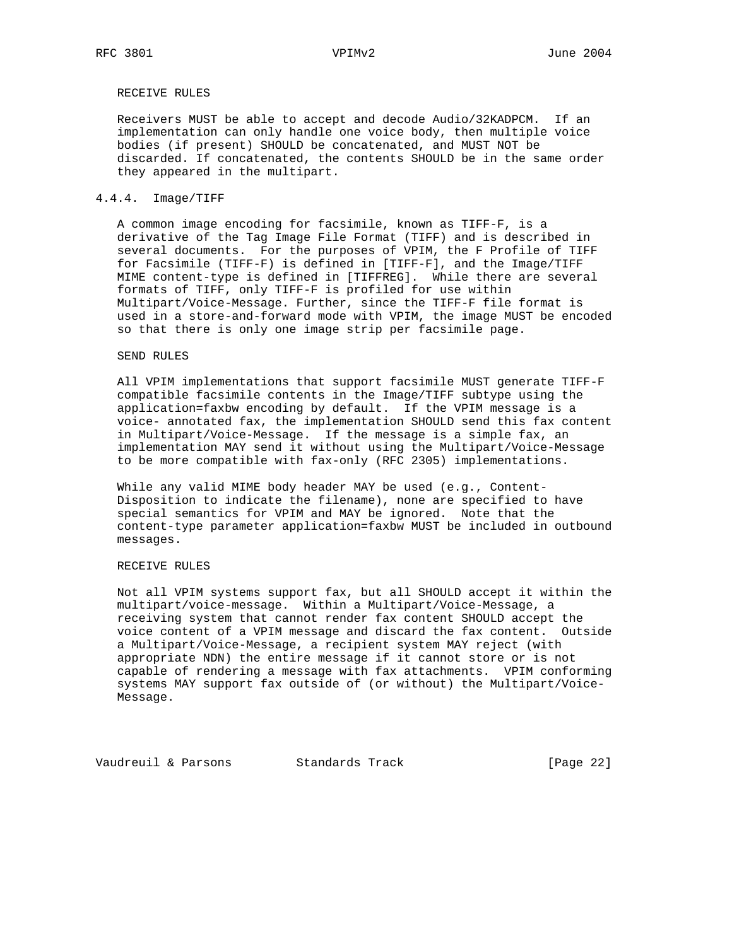# RECEIVE RULES

 Receivers MUST be able to accept and decode Audio/32KADPCM. If an implementation can only handle one voice body, then multiple voice bodies (if present) SHOULD be concatenated, and MUST NOT be discarded. If concatenated, the contents SHOULD be in the same order they appeared in the multipart.

# 4.4.4. Image/TIFF

 A common image encoding for facsimile, known as TIFF-F, is a derivative of the Tag Image File Format (TIFF) and is described in several documents. For the purposes of VPIM, the F Profile of TIFF for Facsimile (TIFF-F) is defined in [TIFF-F], and the Image/TIFF MIME content-type is defined in [TIFFREG]. While there are several formats of TIFF, only TIFF-F is profiled for use within Multipart/Voice-Message. Further, since the TIFF-F file format is used in a store-and-forward mode with VPIM, the image MUST be encoded so that there is only one image strip per facsimile page.

#### SEND RULES

 All VPIM implementations that support facsimile MUST generate TIFF-F compatible facsimile contents in the Image/TIFF subtype using the application=faxbw encoding by default. If the VPIM message is a voice- annotated fax, the implementation SHOULD send this fax content in Multipart/Voice-Message. If the message is a simple fax, an implementation MAY send it without using the Multipart/Voice-Message to be more compatible with fax-only (RFC 2305) implementations.

 While any valid MIME body header MAY be used (e.g., Content- Disposition to indicate the filename), none are specified to have special semantics for VPIM and MAY be ignored. Note that the content-type parameter application=faxbw MUST be included in outbound messages.

# RECEIVE RULES

 Not all VPIM systems support fax, but all SHOULD accept it within the multipart/voice-message. Within a Multipart/Voice-Message, a receiving system that cannot render fax content SHOULD accept the voice content of a VPIM message and discard the fax content. Outside a Multipart/Voice-Message, a recipient system MAY reject (with appropriate NDN) the entire message if it cannot store or is not capable of rendering a message with fax attachments. VPIM conforming systems MAY support fax outside of (or without) the Multipart/Voice- Message.

Vaudreuil & Parsons Standards Track [Page 22]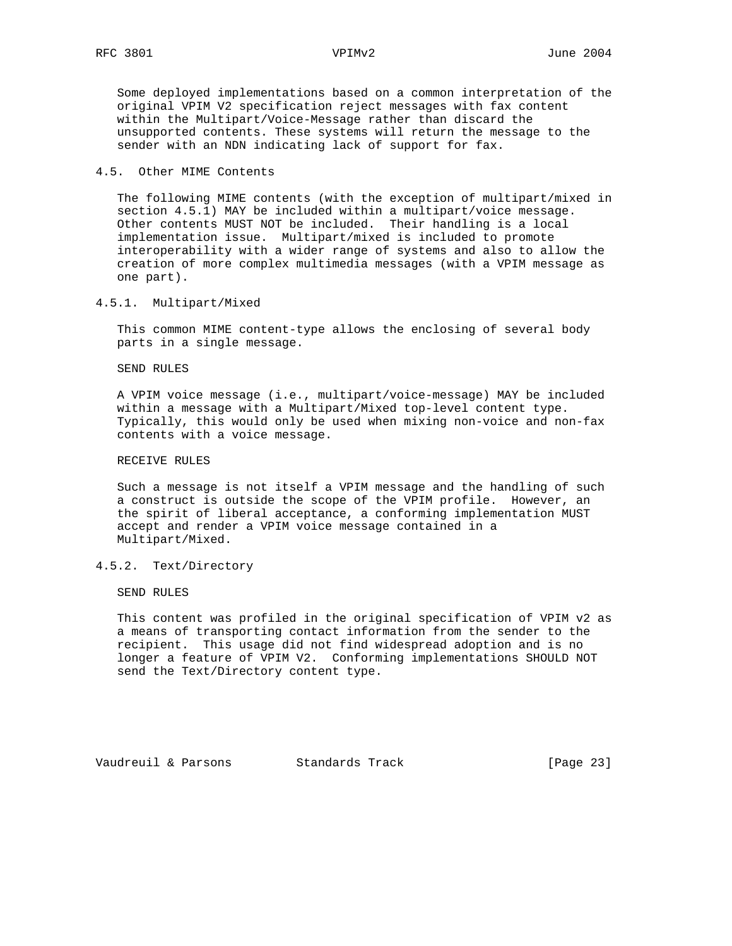Some deployed implementations based on a common interpretation of the original VPIM V2 specification reject messages with fax content within the Multipart/Voice-Message rather than discard the unsupported contents. These systems will return the message to the sender with an NDN indicating lack of support for fax.

## 4.5. Other MIME Contents

 The following MIME contents (with the exception of multipart/mixed in section 4.5.1) MAY be included within a multipart/voice message. Other contents MUST NOT be included. Their handling is a local implementation issue. Multipart/mixed is included to promote interoperability with a wider range of systems and also to allow the creation of more complex multimedia messages (with a VPIM message as one part).

# 4.5.1. Multipart/Mixed

 This common MIME content-type allows the enclosing of several body parts in a single message.

SEND RULES

 A VPIM voice message (i.e., multipart/voice-message) MAY be included within a message with a Multipart/Mixed top-level content type. Typically, this would only be used when mixing non-voice and non-fax contents with a voice message.

# RECEIVE RULES

 Such a message is not itself a VPIM message and the handling of such a construct is outside the scope of the VPIM profile. However, an the spirit of liberal acceptance, a conforming implementation MUST accept and render a VPIM voice message contained in a Multipart/Mixed.

# 4.5.2. Text/Directory

SEND RULES

 This content was profiled in the original specification of VPIM v2 as a means of transporting contact information from the sender to the recipient. This usage did not find widespread adoption and is no longer a feature of VPIM V2. Conforming implementations SHOULD NOT send the Text/Directory content type.

Vaudreuil & Parsons Standards Track [Page 23]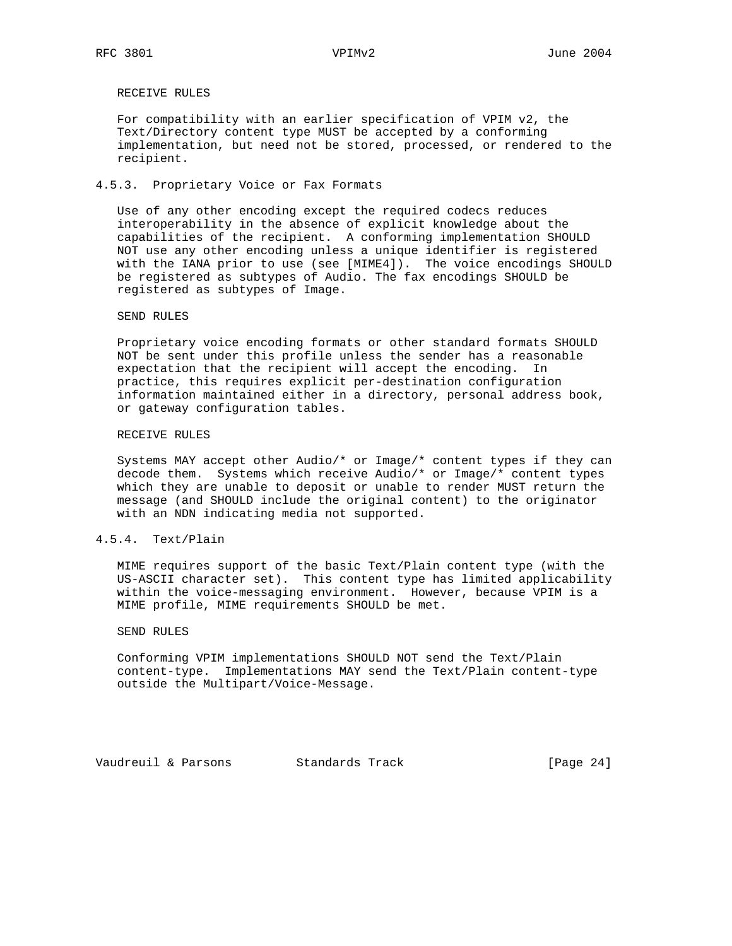RECEIVE RULES

 For compatibility with an earlier specification of VPIM v2, the Text/Directory content type MUST be accepted by a conforming implementation, but need not be stored, processed, or rendered to the recipient.

## 4.5.3. Proprietary Voice or Fax Formats

 Use of any other encoding except the required codecs reduces interoperability in the absence of explicit knowledge about the capabilities of the recipient. A conforming implementation SHOULD NOT use any other encoding unless a unique identifier is registered with the IANA prior to use (see [MIME4]). The voice encodings SHOULD be registered as subtypes of Audio. The fax encodings SHOULD be registered as subtypes of Image.

### SEND RULES

 Proprietary voice encoding formats or other standard formats SHOULD NOT be sent under this profile unless the sender has a reasonable expectation that the recipient will accept the encoding. In practice, this requires explicit per-destination configuration information maintained either in a directory, personal address book, or gateway configuration tables.

### RECEIVE RULES

 Systems MAY accept other Audio/\* or Image/\* content types if they can decode them. Systems which receive Audio/\* or Image/\* content types which they are unable to deposit or unable to render MUST return the message (and SHOULD include the original content) to the originator with an NDN indicating media not supported.

# 4.5.4. Text/Plain

 MIME requires support of the basic Text/Plain content type (with the US-ASCII character set). This content type has limited applicability within the voice-messaging environment. However, because VPIM is a MIME profile, MIME requirements SHOULD be met.

#### SEND RULES

 Conforming VPIM implementations SHOULD NOT send the Text/Plain content-type. Implementations MAY send the Text/Plain content-type outside the Multipart/Voice-Message.

Vaudreuil & Parsons Standards Track [Page 24]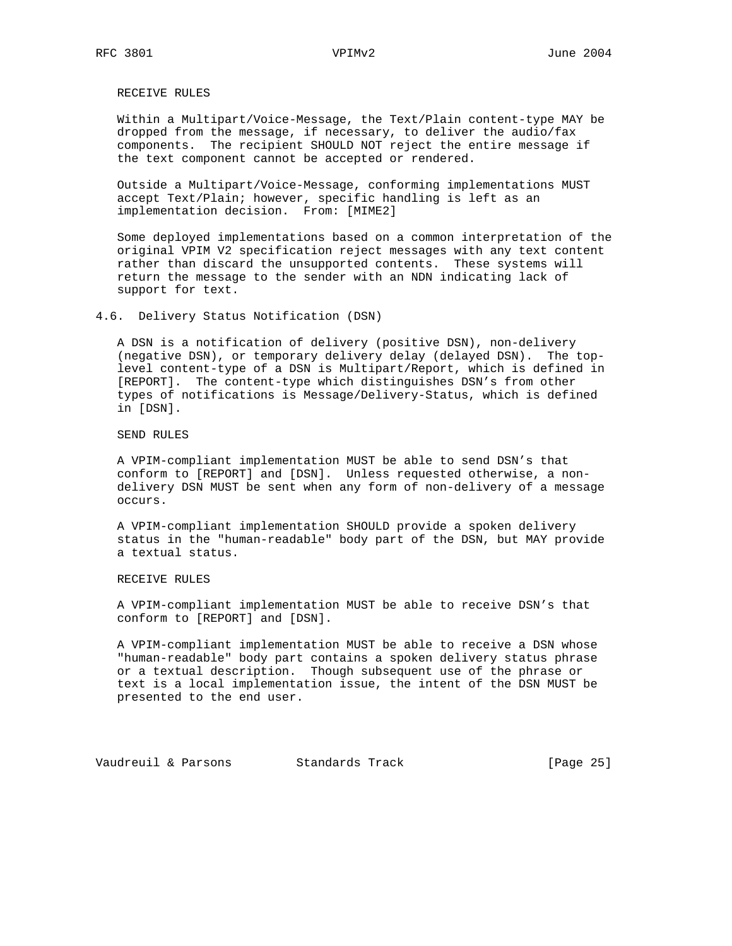RECEIVE RULES

 Within a Multipart/Voice-Message, the Text/Plain content-type MAY be dropped from the message, if necessary, to deliver the audio/fax components. The recipient SHOULD NOT reject the entire message if the text component cannot be accepted or rendered.

 Outside a Multipart/Voice-Message, conforming implementations MUST accept Text/Plain; however, specific handling is left as an implementation decision. From: [MIME2]

 Some deployed implementations based on a common interpretation of the original VPIM V2 specification reject messages with any text content rather than discard the unsupported contents. These systems will return the message to the sender with an NDN indicating lack of support for text.

4.6. Delivery Status Notification (DSN)

 A DSN is a notification of delivery (positive DSN), non-delivery (negative DSN), or temporary delivery delay (delayed DSN). The top level content-type of a DSN is Multipart/Report, which is defined in [REPORT]. The content-type which distinguishes DSN's from other types of notifications is Message/Delivery-Status, which is defined in [DSN].

SEND RULES

 A VPIM-compliant implementation MUST be able to send DSN's that conform to [REPORT] and [DSN]. Unless requested otherwise, a non delivery DSN MUST be sent when any form of non-delivery of a message occurs.

 A VPIM-compliant implementation SHOULD provide a spoken delivery status in the "human-readable" body part of the DSN, but MAY provide a textual status.

RECEIVE RULES

 A VPIM-compliant implementation MUST be able to receive DSN's that conform to [REPORT] and [DSN].

 A VPIM-compliant implementation MUST be able to receive a DSN whose "human-readable" body part contains a spoken delivery status phrase or a textual description. Though subsequent use of the phrase or text is a local implementation issue, the intent of the DSN MUST be presented to the end user.

Vaudreuil & Parsons Standards Track [Page 25]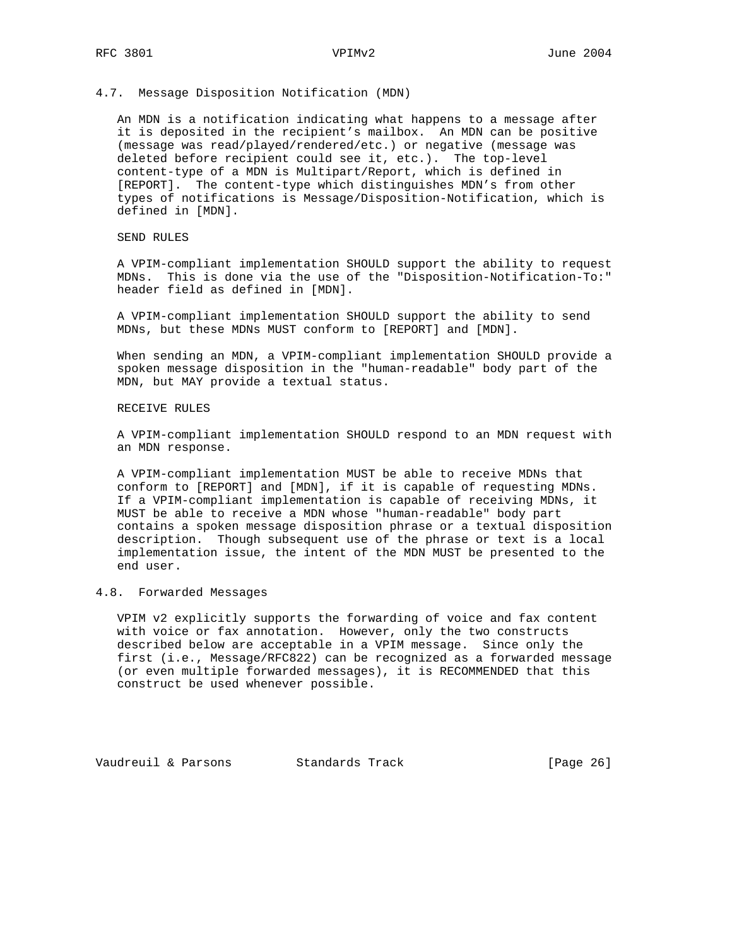## 4.7. Message Disposition Notification (MDN)

 An MDN is a notification indicating what happens to a message after it is deposited in the recipient's mailbox. An MDN can be positive (message was read/played/rendered/etc.) or negative (message was deleted before recipient could see it, etc.). The top-level content-type of a MDN is Multipart/Report, which is defined in [REPORT]. The content-type which distinguishes MDN's from other types of notifications is Message/Disposition-Notification, which is defined in [MDN].

# SEND RULES

 A VPIM-compliant implementation SHOULD support the ability to request MDNs. This is done via the use of the "Disposition-Notification-To:" header field as defined in [MDN].

 A VPIM-compliant implementation SHOULD support the ability to send MDNs, but these MDNs MUST conform to [REPORT] and [MDN].

 When sending an MDN, a VPIM-compliant implementation SHOULD provide a spoken message disposition in the "human-readable" body part of the MDN, but MAY provide a textual status.

# RECEIVE RULES

 A VPIM-compliant implementation SHOULD respond to an MDN request with an MDN response.

 A VPIM-compliant implementation MUST be able to receive MDNs that conform to [REPORT] and [MDN], if it is capable of requesting MDNs. If a VPIM-compliant implementation is capable of receiving MDNs, it MUST be able to receive a MDN whose "human-readable" body part contains a spoken message disposition phrase or a textual disposition description. Though subsequent use of the phrase or text is a local implementation issue, the intent of the MDN MUST be presented to the end user.

# 4.8. Forwarded Messages

 VPIM v2 explicitly supports the forwarding of voice and fax content with voice or fax annotation. However, only the two constructs described below are acceptable in a VPIM message. Since only the first (i.e., Message/RFC822) can be recognized as a forwarded message (or even multiple forwarded messages), it is RECOMMENDED that this construct be used whenever possible.

Vaudreuil & Parsons Standards Track [Page 26]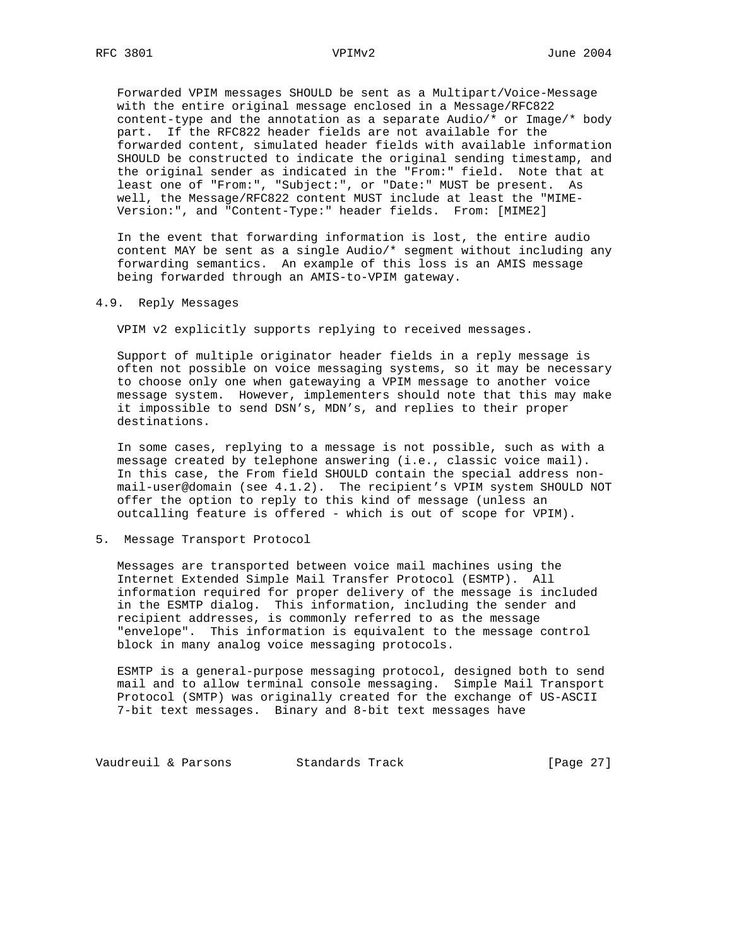Forwarded VPIM messages SHOULD be sent as a Multipart/Voice-Message with the entire original message enclosed in a Message/RFC822 content-type and the annotation as a separate Audio/\* or Image/\* body part. If the RFC822 header fields are not available for the forwarded content, simulated header fields with available information SHOULD be constructed to indicate the original sending timestamp, and the original sender as indicated in the "From:" field. Note that at least one of "From:", "Subject:", or "Date:" MUST be present. As well, the Message/RFC822 content MUST include at least the "MIME- Version:", and "Content-Type:" header fields. From: [MIME2]

 In the event that forwarding information is lost, the entire audio content MAY be sent as a single Audio/\* segment without including any forwarding semantics. An example of this loss is an AMIS message being forwarded through an AMIS-to-VPIM gateway.

# 4.9. Reply Messages

VPIM v2 explicitly supports replying to received messages.

 Support of multiple originator header fields in a reply message is often not possible on voice messaging systems, so it may be necessary to choose only one when gatewaying a VPIM message to another voice message system. However, implementers should note that this may make it impossible to send DSN's, MDN's, and replies to their proper destinations.

 In some cases, replying to a message is not possible, such as with a message created by telephone answering (i.e., classic voice mail). In this case, the From field SHOULD contain the special address non mail-user@domain (see 4.1.2). The recipient's VPIM system SHOULD NOT offer the option to reply to this kind of message (unless an outcalling feature is offered - which is out of scope for VPIM).

### 5. Message Transport Protocol

 Messages are transported between voice mail machines using the Internet Extended Simple Mail Transfer Protocol (ESMTP). All information required for proper delivery of the message is included in the ESMTP dialog. This information, including the sender and recipient addresses, is commonly referred to as the message "envelope". This information is equivalent to the message control block in many analog voice messaging protocols.

 ESMTP is a general-purpose messaging protocol, designed both to send mail and to allow terminal console messaging. Simple Mail Transport Protocol (SMTP) was originally created for the exchange of US-ASCII 7-bit text messages. Binary and 8-bit text messages have

Vaudreuil & Parsons Standards Track [Page 27]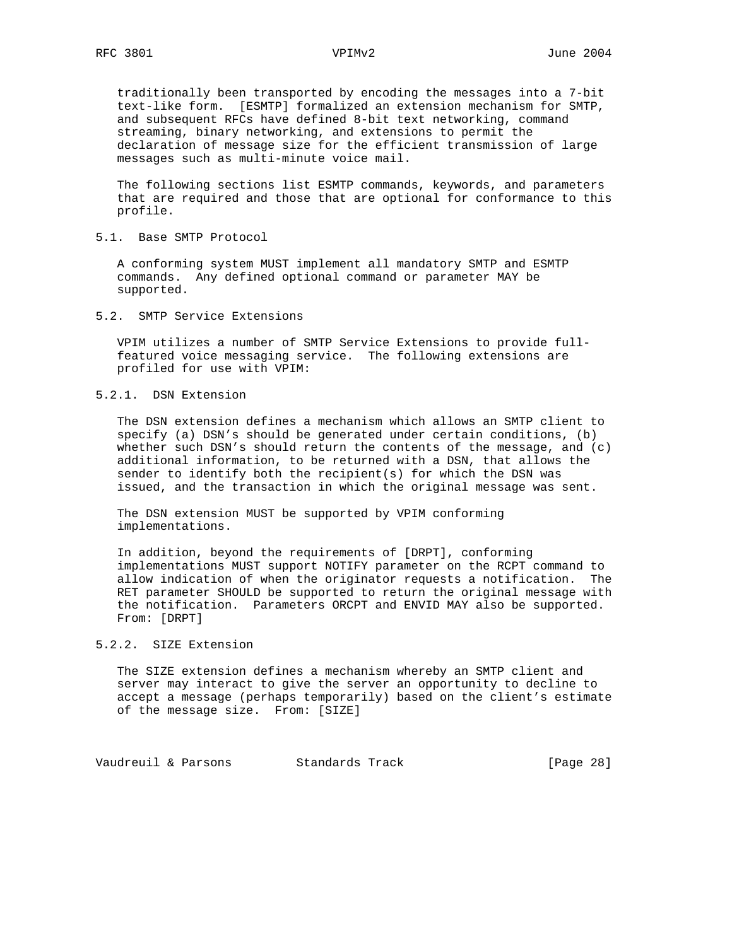traditionally been transported by encoding the messages into a 7-bit text-like form. [ESMTP] formalized an extension mechanism for SMTP, and subsequent RFCs have defined 8-bit text networking, command streaming, binary networking, and extensions to permit the declaration of message size for the efficient transmission of large messages such as multi-minute voice mail.

 The following sections list ESMTP commands, keywords, and parameters that are required and those that are optional for conformance to this profile.

5.1. Base SMTP Protocol

 A conforming system MUST implement all mandatory SMTP and ESMTP commands. Any defined optional command or parameter MAY be supported.

5.2. SMTP Service Extensions

 VPIM utilizes a number of SMTP Service Extensions to provide full featured voice messaging service. The following extensions are profiled for use with VPIM:

5.2.1. DSN Extension

 The DSN extension defines a mechanism which allows an SMTP client to specify (a) DSN's should be generated under certain conditions, (b) whether such DSN's should return the contents of the message, and  $(c)$  additional information, to be returned with a DSN, that allows the sender to identify both the recipient(s) for which the DSN was issued, and the transaction in which the original message was sent.

 The DSN extension MUST be supported by VPIM conforming implementations.

 In addition, beyond the requirements of [DRPT], conforming implementations MUST support NOTIFY parameter on the RCPT command to allow indication of when the originator requests a notification. The RET parameter SHOULD be supported to return the original message with the notification. Parameters ORCPT and ENVID MAY also be supported. From: [DRPT]

# 5.2.2. SIZE Extension

 The SIZE extension defines a mechanism whereby an SMTP client and server may interact to give the server an opportunity to decline to accept a message (perhaps temporarily) based on the client's estimate of the message size. From: [SIZE]

Vaudreuil & Parsons Standards Track [Page 28]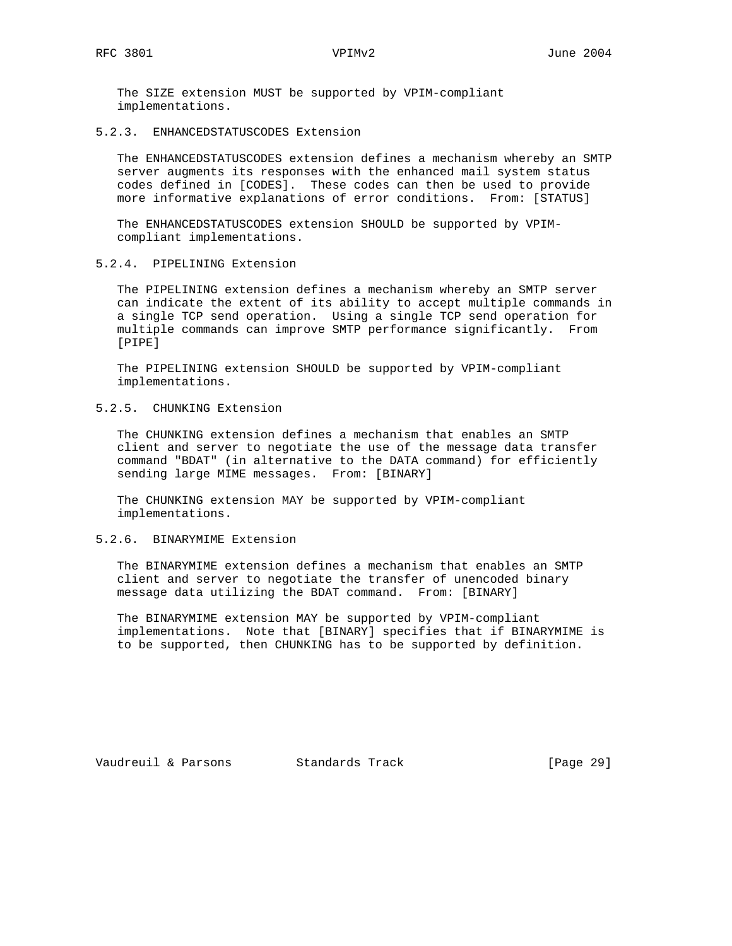The SIZE extension MUST be supported by VPIM-compliant implementations.

5.2.3. ENHANCEDSTATUSCODES Extension

 The ENHANCEDSTATUSCODES extension defines a mechanism whereby an SMTP server augments its responses with the enhanced mail system status codes defined in [CODES]. These codes can then be used to provide more informative explanations of error conditions. From: [STATUS]

 The ENHANCEDSTATUSCODES extension SHOULD be supported by VPIM compliant implementations.

5.2.4. PIPELINING Extension

 The PIPELINING extension defines a mechanism whereby an SMTP server can indicate the extent of its ability to accept multiple commands in a single TCP send operation. Using a single TCP send operation for multiple commands can improve SMTP performance significantly. From [PIPE]

 The PIPELINING extension SHOULD be supported by VPIM-compliant implementations.

5.2.5. CHUNKING Extension

 The CHUNKING extension defines a mechanism that enables an SMTP client and server to negotiate the use of the message data transfer command "BDAT" (in alternative to the DATA command) for efficiently sending large MIME messages. From: [BINARY]

 The CHUNKING extension MAY be supported by VPIM-compliant implementations.

# 5.2.6. BINARYMIME Extension

 The BINARYMIME extension defines a mechanism that enables an SMTP client and server to negotiate the transfer of unencoded binary message data utilizing the BDAT command. From: [BINARY]

 The BINARYMIME extension MAY be supported by VPIM-compliant implementations. Note that [BINARY] specifies that if BINARYMIME is to be supported, then CHUNKING has to be supported by definition.

Vaudreuil & Parsons Standards Track [Page 29]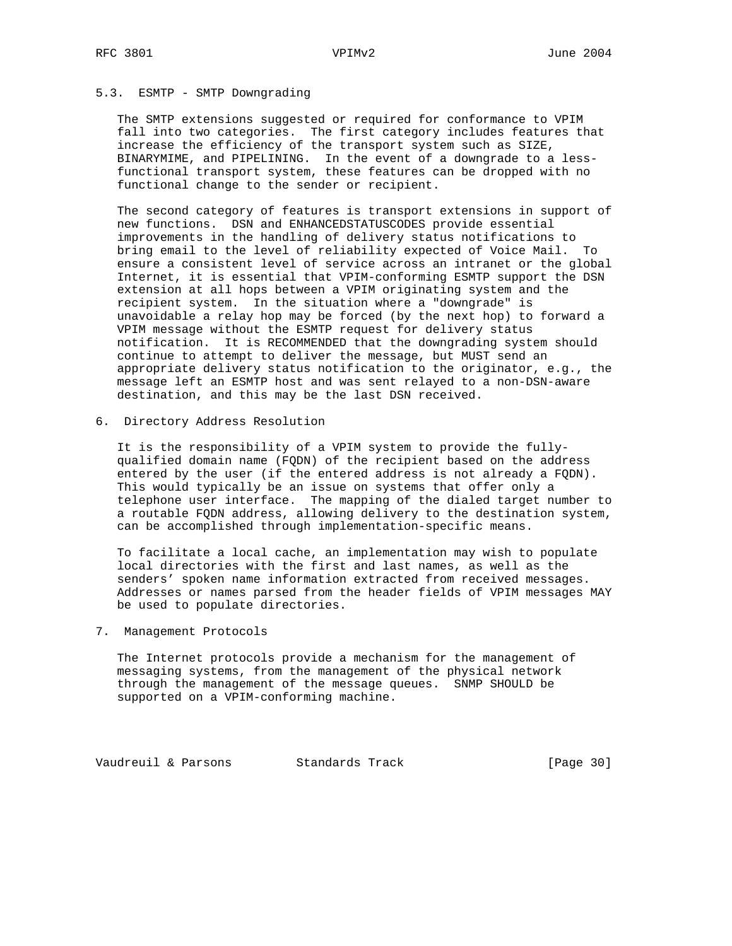# 5.3. ESMTP - SMTP Downgrading

 The SMTP extensions suggested or required for conformance to VPIM fall into two categories. The first category includes features that increase the efficiency of the transport system such as SIZE, BINARYMIME, and PIPELINING. In the event of a downgrade to a less functional transport system, these features can be dropped with no functional change to the sender or recipient.

 The second category of features is transport extensions in support of new functions. DSN and ENHANCEDSTATUSCODES provide essential improvements in the handling of delivery status notifications to bring email to the level of reliability expected of Voice Mail. To ensure a consistent level of service across an intranet or the global Internet, it is essential that VPIM-conforming ESMTP support the DSN extension at all hops between a VPIM originating system and the recipient system. In the situation where a "downgrade" is unavoidable a relay hop may be forced (by the next hop) to forward a VPIM message without the ESMTP request for delivery status notification. It is RECOMMENDED that the downgrading system should continue to attempt to deliver the message, but MUST send an appropriate delivery status notification to the originator, e.g., the message left an ESMTP host and was sent relayed to a non-DSN-aware destination, and this may be the last DSN received.

6. Directory Address Resolution

 It is the responsibility of a VPIM system to provide the fully qualified domain name (FQDN) of the recipient based on the address entered by the user (if the entered address is not already a FQDN). This would typically be an issue on systems that offer only a telephone user interface. The mapping of the dialed target number to a routable FQDN address, allowing delivery to the destination system, can be accomplished through implementation-specific means.

 To facilitate a local cache, an implementation may wish to populate local directories with the first and last names, as well as the senders' spoken name information extracted from received messages. Addresses or names parsed from the header fields of VPIM messages MAY be used to populate directories.

# 7. Management Protocols

 The Internet protocols provide a mechanism for the management of messaging systems, from the management of the physical network through the management of the message queues. SNMP SHOULD be supported on a VPIM-conforming machine.

Vaudreuil & Parsons Standards Track [Page 30]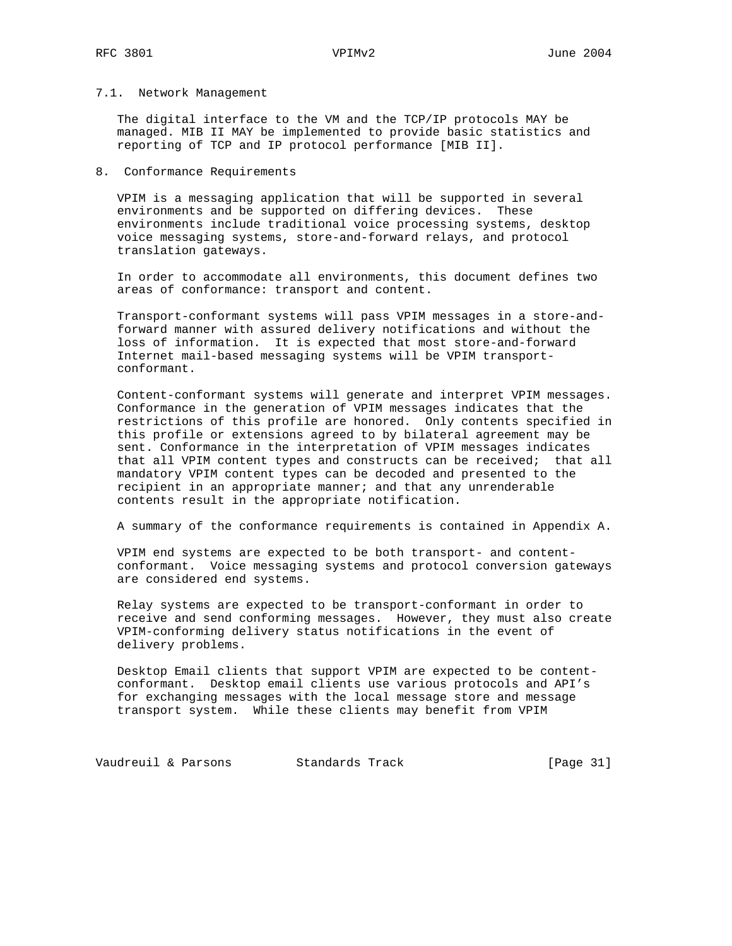## 7.1. Network Management

 The digital interface to the VM and the TCP/IP protocols MAY be managed. MIB II MAY be implemented to provide basic statistics and reporting of TCP and IP protocol performance [MIB II].

# 8. Conformance Requirements

 VPIM is a messaging application that will be supported in several environments and be supported on differing devices. These environments include traditional voice processing systems, desktop voice messaging systems, store-and-forward relays, and protocol translation gateways.

 In order to accommodate all environments, this document defines two areas of conformance: transport and content.

 Transport-conformant systems will pass VPIM messages in a store-and forward manner with assured delivery notifications and without the loss of information. It is expected that most store-and-forward Internet mail-based messaging systems will be VPIM transport conformant.

 Content-conformant systems will generate and interpret VPIM messages. Conformance in the generation of VPIM messages indicates that the restrictions of this profile are honored. Only contents specified in this profile or extensions agreed to by bilateral agreement may be sent. Conformance in the interpretation of VPIM messages indicates that all VPIM content types and constructs can be received; that all mandatory VPIM content types can be decoded and presented to the recipient in an appropriate manner; and that any unrenderable contents result in the appropriate notification.

A summary of the conformance requirements is contained in Appendix A.

 VPIM end systems are expected to be both transport- and content conformant. Voice messaging systems and protocol conversion gateways are considered end systems.

 Relay systems are expected to be transport-conformant in order to receive and send conforming messages. However, they must also create VPIM-conforming delivery status notifications in the event of delivery problems.

 Desktop Email clients that support VPIM are expected to be content conformant. Desktop email clients use various protocols and API's for exchanging messages with the local message store and message transport system. While these clients may benefit from VPIM

Vaudreuil & Parsons Standards Track [Page 31]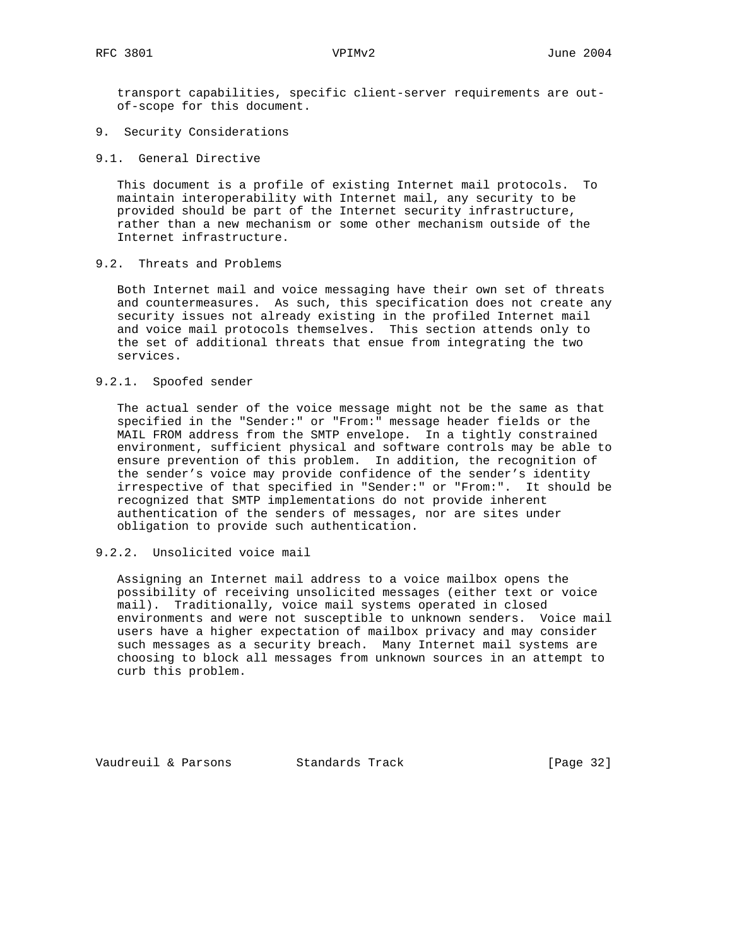transport capabilities, specific client-server requirements are out of-scope for this document.

- 9. Security Considerations
- 9.1. General Directive

 This document is a profile of existing Internet mail protocols. To maintain interoperability with Internet mail, any security to be provided should be part of the Internet security infrastructure, rather than a new mechanism or some other mechanism outside of the Internet infrastructure.

9.2. Threats and Problems

 Both Internet mail and voice messaging have their own set of threats and countermeasures. As such, this specification does not create any security issues not already existing in the profiled Internet mail and voice mail protocols themselves. This section attends only to the set of additional threats that ensue from integrating the two services.

### 9.2.1. Spoofed sender

 The actual sender of the voice message might not be the same as that specified in the "Sender:" or "From:" message header fields or the MAIL FROM address from the SMTP envelope. In a tightly constrained environment, sufficient physical and software controls may be able to ensure prevention of this problem. In addition, the recognition of the sender's voice may provide confidence of the sender's identity irrespective of that specified in "Sender:" or "From:". It should be recognized that SMTP implementations do not provide inherent authentication of the senders of messages, nor are sites under obligation to provide such authentication.

# 9.2.2. Unsolicited voice mail

 Assigning an Internet mail address to a voice mailbox opens the possibility of receiving unsolicited messages (either text or voice mail). Traditionally, voice mail systems operated in closed environments and were not susceptible to unknown senders. Voice mail users have a higher expectation of mailbox privacy and may consider such messages as a security breach. Many Internet mail systems are choosing to block all messages from unknown sources in an attempt to curb this problem.

Vaudreuil & Parsons Standards Track [Page 32]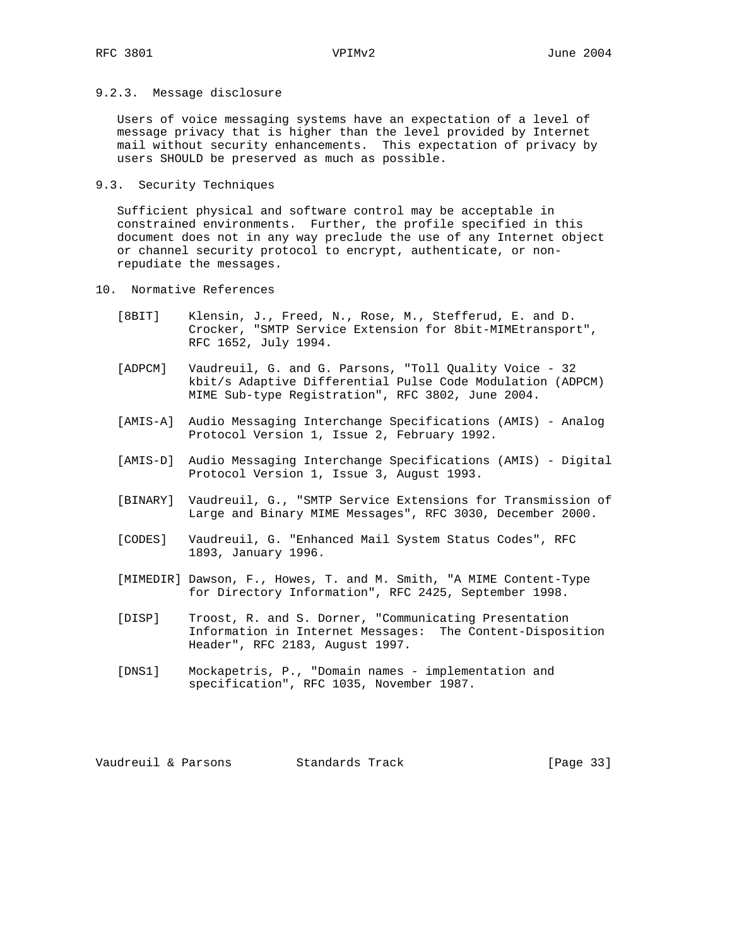# 9.2.3. Message disclosure

 Users of voice messaging systems have an expectation of a level of message privacy that is higher than the level provided by Internet mail without security enhancements. This expectation of privacy by users SHOULD be preserved as much as possible.

9.3. Security Techniques

 Sufficient physical and software control may be acceptable in constrained environments. Further, the profile specified in this document does not in any way preclude the use of any Internet object or channel security protocol to encrypt, authenticate, or non repudiate the messages.

- 10. Normative References
	- [8BIT] Klensin, J., Freed, N., Rose, M., Stefferud, E. and D. Crocker, "SMTP Service Extension for 8bit-MIMEtransport", RFC 1652, July 1994.
	- [ADPCM] Vaudreuil, G. and G. Parsons, "Toll Quality Voice 32 kbit/s Adaptive Differential Pulse Code Modulation (ADPCM) MIME Sub-type Registration", RFC 3802, June 2004.
	- [AMIS-A] Audio Messaging Interchange Specifications (AMIS) Analog Protocol Version 1, Issue 2, February 1992.
	- [AMIS-D] Audio Messaging Interchange Specifications (AMIS) Digital Protocol Version 1, Issue 3, August 1993.
	- [BINARY] Vaudreuil, G., "SMTP Service Extensions for Transmission of Large and Binary MIME Messages", RFC 3030, December 2000.
	- [CODES] Vaudreuil, G. "Enhanced Mail System Status Codes", RFC 1893, January 1996.
	- [MIMEDIR] Dawson, F., Howes, T. and M. Smith, "A MIME Content-Type for Directory Information", RFC 2425, September 1998.
	- [DISP] Troost, R. and S. Dorner, "Communicating Presentation Information in Internet Messages: The Content-Disposition Header", RFC 2183, August 1997.
	- [DNS1] Mockapetris, P., "Domain names implementation and specification", RFC 1035, November 1987.

Vaudreuil & Parsons Standards Track [Page 33]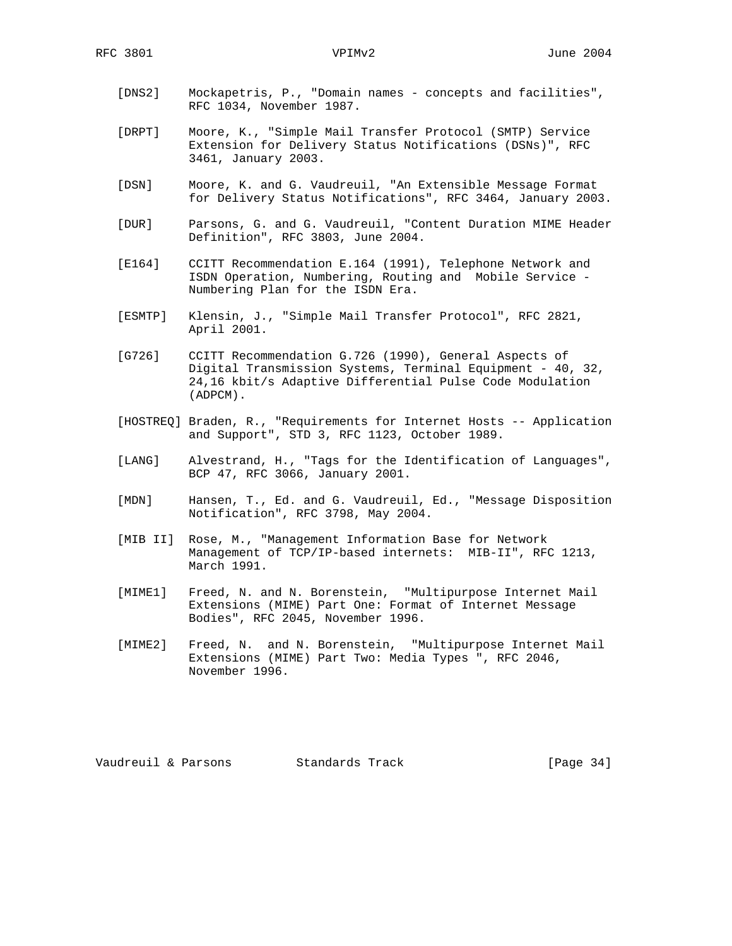- [DNS2] Mockapetris, P., "Domain names concepts and facilities", RFC 1034, November 1987.
- [DRPT] Moore, K., "Simple Mail Transfer Protocol (SMTP) Service Extension for Delivery Status Notifications (DSNs)", RFC 3461, January 2003.
- [DSN] Moore, K. and G. Vaudreuil, "An Extensible Message Format for Delivery Status Notifications", RFC 3464, January 2003.
- [DUR] Parsons, G. and G. Vaudreuil, "Content Duration MIME Header Definition", RFC 3803, June 2004.
- [E164] CCITT Recommendation E.164 (1991), Telephone Network and ISDN Operation, Numbering, Routing and Mobile Service - Numbering Plan for the ISDN Era.
- [ESMTP] Klensin, J., "Simple Mail Transfer Protocol", RFC 2821, April 2001.
- [G726] CCITT Recommendation G.726 (1990), General Aspects of Digital Transmission Systems, Terminal Equipment - 40, 32, 24,16 kbit/s Adaptive Differential Pulse Code Modulation (ADPCM).
- [HOSTREQ] Braden, R., "Requirements for Internet Hosts -- Application and Support", STD 3, RFC 1123, October 1989.
- [LANG] Alvestrand, H., "Tags for the Identification of Languages", BCP 47, RFC 3066, January 2001.
- [MDN] Hansen, T., Ed. and G. Vaudreuil, Ed., "Message Disposition Notification", RFC 3798, May 2004.
- [MIB II] Rose, M., "Management Information Base for Network Management of TCP/IP-based internets: MIB-II", RFC 1213, March 1991.
- [MIME1] Freed, N. and N. Borenstein, "Multipurpose Internet Mail Extensions (MIME) Part One: Format of Internet Message Bodies", RFC 2045, November 1996.
- [MIME2] Freed, N. and N. Borenstein, "Multipurpose Internet Mail Extensions (MIME) Part Two: Media Types ", RFC 2046, November 1996.

Vaudreuil & Parsons Standards Track [Page 34]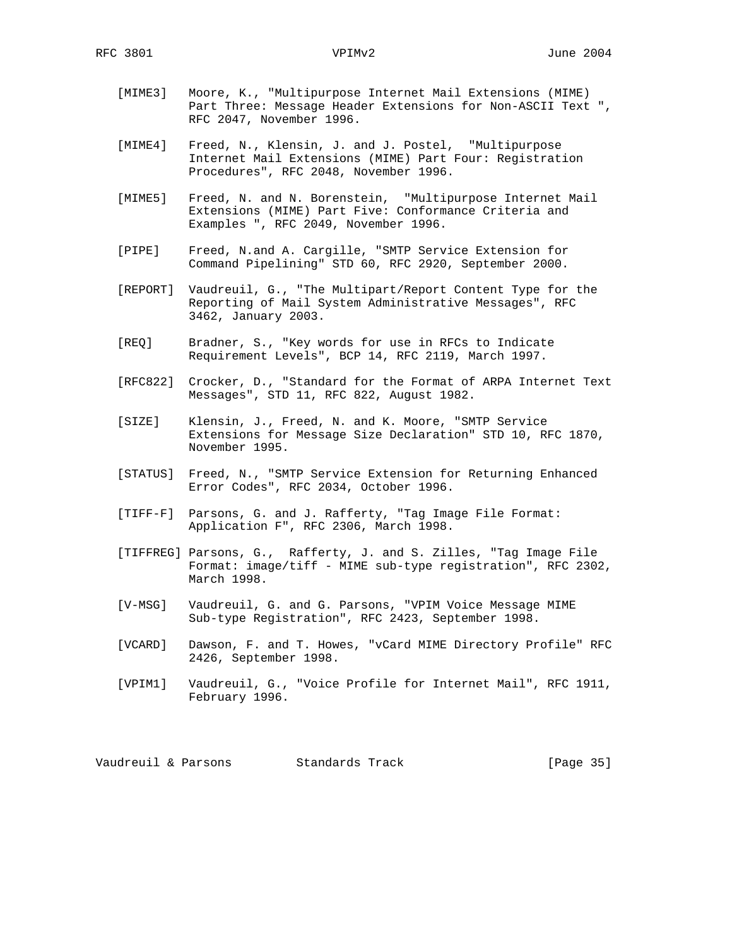- [MIME3] Moore, K., "Multipurpose Internet Mail Extensions (MIME) Part Three: Message Header Extensions for Non-ASCII Text ", RFC 2047, November 1996.
- [MIME4] Freed, N., Klensin, J. and J. Postel, "Multipurpose Internet Mail Extensions (MIME) Part Four: Registration Procedures", RFC 2048, November 1996.
- [MIME5] Freed, N. and N. Borenstein, "Multipurpose Internet Mail Extensions (MIME) Part Five: Conformance Criteria and Examples ", RFC 2049, November 1996.
- [PIPE] Freed, N.and A. Cargille, "SMTP Service Extension for Command Pipelining" STD 60, RFC 2920, September 2000.
- [REPORT] Vaudreuil, G., "The Multipart/Report Content Type for the Reporting of Mail System Administrative Messages", RFC 3462, January 2003.
- [REQ] Bradner, S., "Key words for use in RFCs to Indicate Requirement Levels", BCP 14, RFC 2119, March 1997.
- [RFC822] Crocker, D., "Standard for the Format of ARPA Internet Text Messages", STD 11, RFC 822, August 1982.
- [SIZE] Klensin, J., Freed, N. and K. Moore, "SMTP Service Extensions for Message Size Declaration" STD 10, RFC 1870, November 1995.
- [STATUS] Freed, N., "SMTP Service Extension for Returning Enhanced Error Codes", RFC 2034, October 1996.
- [TIFF-F] Parsons, G. and J. Rafferty, "Tag Image File Format: Application F", RFC 2306, March 1998.
- [TIFFREG] Parsons, G., Rafferty, J. and S. Zilles, "Tag Image File Format: image/tiff - MIME sub-type registration", RFC 2302, March 1998.
- [V-MSG] Vaudreuil, G. and G. Parsons, "VPIM Voice Message MIME Sub-type Registration", RFC 2423, September 1998.
- [VCARD] Dawson, F. and T. Howes, "vCard MIME Directory Profile" RFC 2426, September 1998.
- [VPIM1] Vaudreuil, G., "Voice Profile for Internet Mail", RFC 1911, February 1996.

Vaudreuil & Parsons Standards Track [Page 35]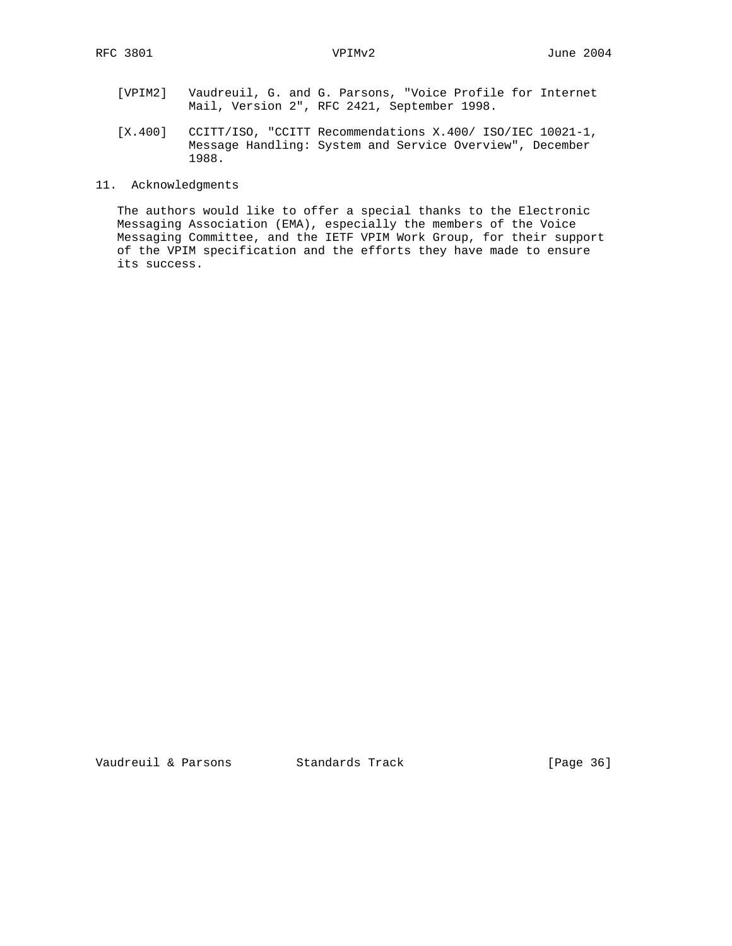- [VPIM2] Vaudreuil, G. and G. Parsons, "Voice Profile for Internet Mail, Version 2", RFC 2421, September 1998.
- [X.400] CCITT/ISO, "CCITT Recommendations X.400/ ISO/IEC 10021-1, Message Handling: System and Service Overview", December 1988.
- 11. Acknowledgments

 The authors would like to offer a special thanks to the Electronic Messaging Association (EMA), especially the members of the Voice Messaging Committee, and the IETF VPIM Work Group, for their support of the VPIM specification and the efforts they have made to ensure its success.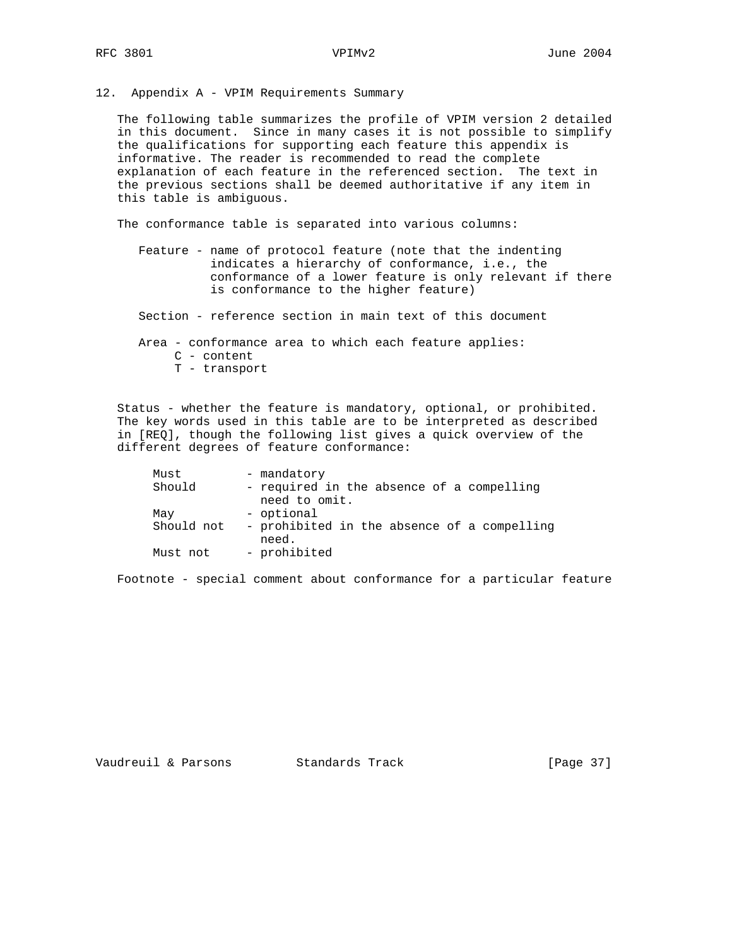12. Appendix A - VPIM Requirements Summary

 The following table summarizes the profile of VPIM version 2 detailed in this document. Since in many cases it is not possible to simplify the qualifications for supporting each feature this appendix is informative. The reader is recommended to read the complete explanation of each feature in the referenced section. The text in the previous sections shall be deemed authoritative if any item in this table is ambiguous.

The conformance table is separated into various columns:

- Feature name of protocol feature (note that the indenting indicates a hierarchy of conformance, i.e., the conformance of a lower feature is only relevant if there is conformance to the higher feature)
- Section reference section in main text of this document

Area - conformance area to which each feature applies:

- C content
- T transport

 Status - whether the feature is mandatory, optional, or prohibited. The key words used in this table are to be interpreted as described in [REQ], though the following list gives a quick overview of the different degrees of feature conformance:

| Must       | - mandatory                                                |
|------------|------------------------------------------------------------|
| Should     | - required in the absence of a compelling<br>need to omit. |
| May        | - optional                                                 |
| Should not | - prohibited in the absence of a compelling<br>need.       |
| Must not   | - prohibited                                               |

Footnote - special comment about conformance for a particular feature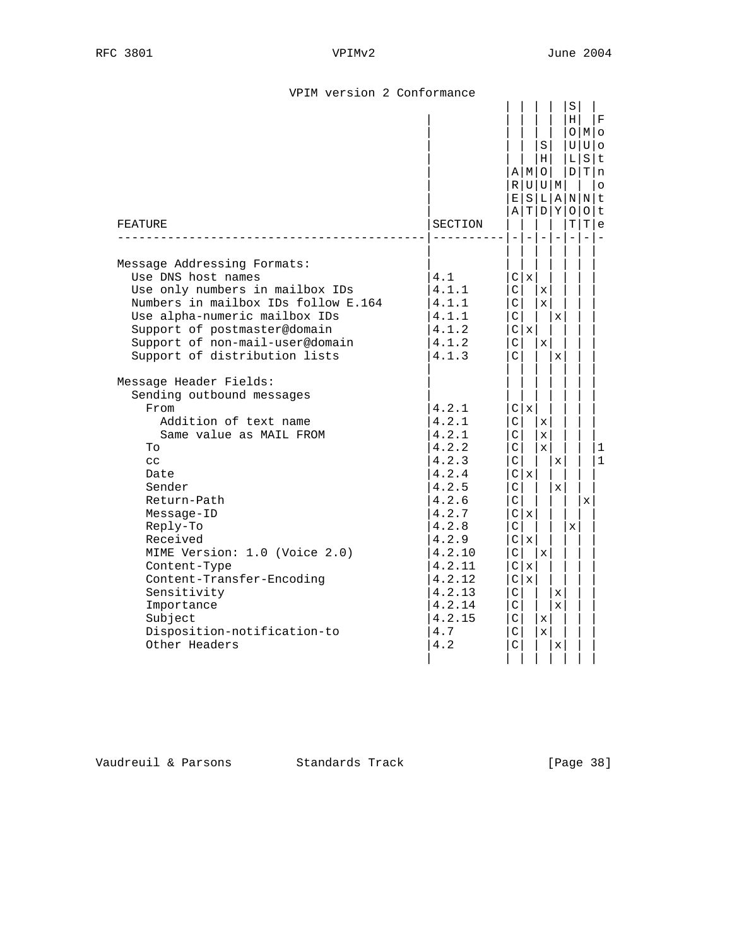|  |  |  | VPIM version 2 Conformance |
|--|--|--|----------------------------|
|--|--|--|----------------------------|

| FEATURE                                                                                                                                                                                                                                                                                                                                                                  | SECTION                                                                                                                                                                   | $A$   M $ O $<br>R U U M<br>E[S L A N N t]<br>ATDY                                                                                                                                                       | S  <br>нI                                                                          |                                                                  | S<br>Н<br>LΙ<br>$\circ$<br>т |   | $_{\rm F}$<br>OMO<br>$U U $ o<br>SIt<br>D T n<br>$\circ$<br>Olt<br>T e |
|--------------------------------------------------------------------------------------------------------------------------------------------------------------------------------------------------------------------------------------------------------------------------------------------------------------------------------------------------------------------------|---------------------------------------------------------------------------------------------------------------------------------------------------------------------------|----------------------------------------------------------------------------------------------------------------------------------------------------------------------------------------------------------|------------------------------------------------------------------------------------|------------------------------------------------------------------|------------------------------|---|------------------------------------------------------------------------|
| Message Addressing Formats:<br>Use DNS host names<br>Use only numbers in mailbox IDs<br>Numbers in mailbox IDs follow E.164<br>Use alpha-numeric mailbox IDs<br>Support of postmaster@domain<br>Support of non-mail-user@domain<br>Support of distribution lists                                                                                                         | 4.1<br>4.1.1<br>4.1.1<br>4.1.1<br>4.1.2<br>4.1.2<br>4.1.3                                                                                                                 | C   x  <br>C<br>$\vert$ C $\vert$<br>$\mathsf C$<br>C <sub>x</sub><br>C<br>$\overline{C}$                                                                                                                | $\mathbf{x}$<br>$\mathbf{x}$<br>$\mathbf{x}$                                       | $\mathbf{x}$<br>$\mathbf{x}$                                     |                              |   |                                                                        |
| Message Header Fields:<br>Sending outbound messages<br>From<br>Addition of text name<br>Same value as MAIL FROM<br>To<br>cc<br>Date<br>Sender<br>Return-Path<br>Message-ID<br>Reply-To<br>Received<br>MIME Version: 1.0 (Voice 2.0)<br>Content-Type<br>Content-Transfer-Encoding<br>Sensitivity<br>Importance<br>Subject<br>Disposition-notification-to<br>Other Headers | 4.2.1<br>4.2.1<br>4.2.1<br>4.2.2<br>4.2.3<br>4.2.4<br>4.2.5<br>4.2.6<br>4.2.7<br>4.2.8<br>4.2.9<br>4.2.10<br>4.2.11<br>4.2.12<br>4.2.13<br>4.2.14<br>4.2.15<br>4.7<br>4.2 | C   x  <br>$\vert$ C $\vert$<br>C<br>C  <br>$\vert$ C<br>Clx<br>$\vert$ C<br>$\vert$ C<br>C   x  <br>C<br>C  X <br>$\vert$ C<br>C x<br>C  x <br>$\vert$ C<br>$\mathsf{C}$<br>$\vert$ C<br>$\vert$ C<br>C | $\mathbf{x}$<br>$\mathbf{x}$<br>$\mathbf{x}$<br>$\mathbf{x}$<br>хI<br>$\mathbf{x}$ | $\mathbf x$<br>$\mathbf{x}$<br>$\mathbf{x}$<br>$\mathbf{x}$<br>X | X                            | X | 1<br>$\mathbf 1$                                                       |

Vaudreuil & Parsons Standards Track [Page 38]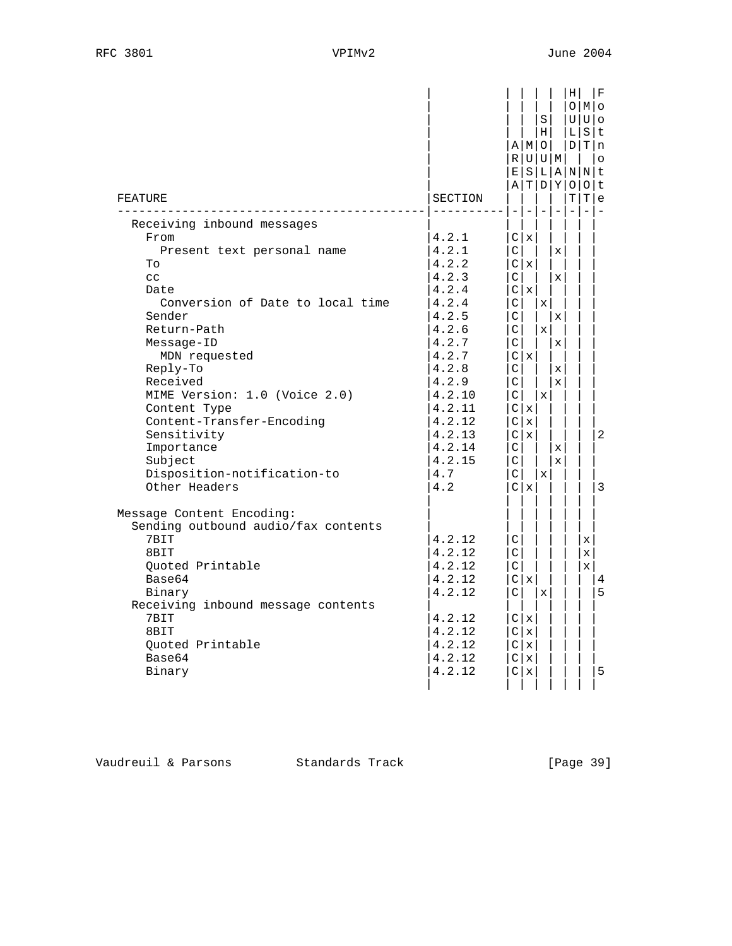| FEATURE                                                                                                                                                                                                                                                                                                                                                                        | SECTION                                                                                                                                                                            |                                                                                                  | $A$  M O<br>R U U M                                                                                       | S<br>н                                                              |                                                                                           | ΗI<br>LΙ<br>E S L A N N t<br>A[T D Y O O t | O M <br>UUlo<br>S<br>D T n<br>TIT | F<br>∣t.<br>$\circ$<br>l e |
|--------------------------------------------------------------------------------------------------------------------------------------------------------------------------------------------------------------------------------------------------------------------------------------------------------------------------------------------------------------------------------|------------------------------------------------------------------------------------------------------------------------------------------------------------------------------------|--------------------------------------------------------------------------------------------------|-----------------------------------------------------------------------------------------------------------|---------------------------------------------------------------------|-------------------------------------------------------------------------------------------|--------------------------------------------|-----------------------------------|----------------------------|
| Receiving inbound messages<br>From<br>Present text personal name<br>To<br>cc<br>Date<br>Conversion of Date to local time<br>Sender<br>Return-Path<br>Message-ID<br>MDN requested<br>Reply-To<br>Received<br>MIME Version: 1.0 (Voice 2.0)<br>Content Type<br>Content-Transfer-Encoding<br>Sensitivity<br>Importance<br>Subject<br>Disposition-notification-to<br>Other Headers | 4.2.1<br>4.2.1<br>4.2.2<br>4.2.3<br>4.2.4<br>4.2.4<br>4.2.5<br>4.2.6<br>4.2.7<br>4.2.7<br>4.2.8<br>4.2.9<br>4.2.10<br>4.2.11<br>4.2.12<br>4.2.13<br>4.2.14<br>4.2.15<br>4.7<br>4.2 | C<br>C<br>$\vert$ C<br>C<br>C<br>$\vert$ C<br>C<br>C<br>C<br>C<br>$\vert$ C<br>$\vert$ C $\vert$ | $\overline{\phantom{m}}$<br>C   x<br>C x<br>C   x  <br>C   x  <br>C  x <br>Clx<br>C  X <br>C <sub>x</sub> | $\qquad \qquad =$<br>$\mathbf x$<br>$\mathbf x$<br>$\mathbf x$<br>X | $\mathbf{x}$<br>$\mathbf x$<br>x<br>X<br>$\mathbf x$<br>$\mathbf{x}$<br>x<br>$\mathbf{x}$ | $\overline{\phantom{0}}$                   |                                   | 2<br>3                     |
| Message Content Encoding:<br>Sending outbound audio/fax contents<br>7BIT<br>8BIT<br>Ouoted Printable<br>Base64<br>Binary<br>Receiving inbound message contents<br>7BIT<br>8BIT<br>Quoted Printable<br>Base64<br>Binary                                                                                                                                                         | 4.2.12<br>4.2.12<br>4.2.12<br>4.2.12<br>4.2.12<br>4.2.12<br>4.2.12<br>4.2.12<br>4.2.12<br>4.2.12                                                                                   | $\vert$ C<br>$\vert$ C $\vert$<br>C<br>$\vert$ C                                                 | C x<br>C x<br>C x <br>C x <br>C   x<br>C x                                                                | $\mathbf x$                                                         |                                                                                           |                                            | X<br>X<br>$\mathbf x$             | 4<br>5<br>5                |

Vaudreuil & Parsons Standards Track [Page 39]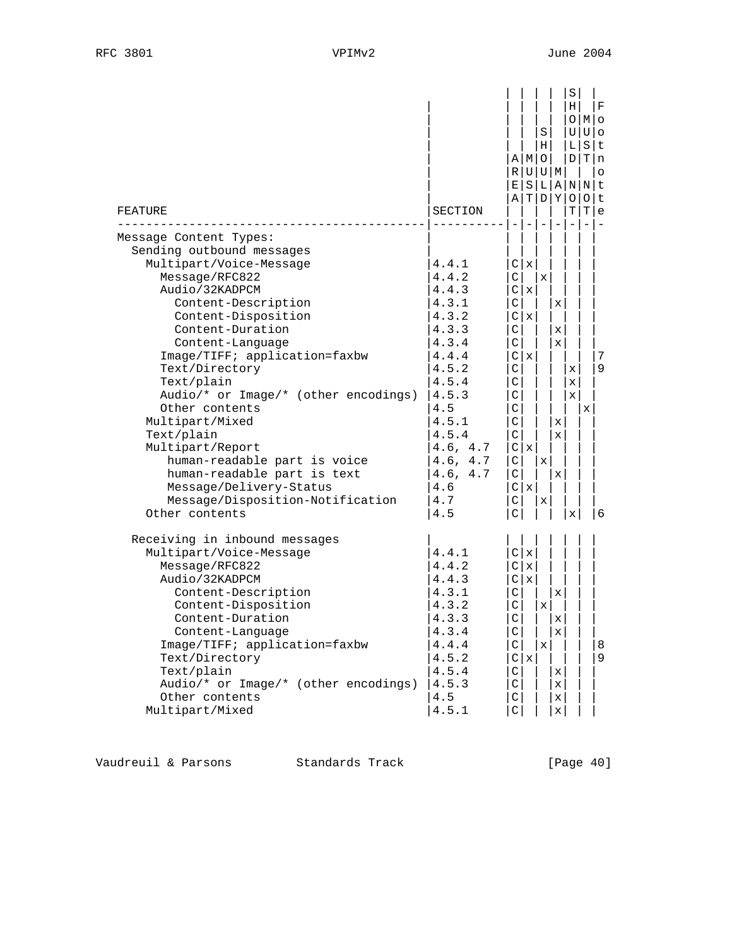| FEATURE<br>Message Content Types:                                                                                                                                                                                                                                                                                                                                                                                                                                                                              | SECTION                                                                                                                                                                           | ΑI                                                                                                                                                                                   | AIMIO<br>R U U M                                         | S<br>Н                | T D Y                                                                       | $S \mid$<br>ΗI<br>UΙ<br>니<br>E S L A N N t<br>Т              | O M <br>Ulo<br>S<br>D T<br>0 0 t<br>Т | F<br>Ιt<br> n<br>$\circ$<br>e |
|----------------------------------------------------------------------------------------------------------------------------------------------------------------------------------------------------------------------------------------------------------------------------------------------------------------------------------------------------------------------------------------------------------------------------------------------------------------------------------------------------------------|-----------------------------------------------------------------------------------------------------------------------------------------------------------------------------------|--------------------------------------------------------------------------------------------------------------------------------------------------------------------------------------|----------------------------------------------------------|-----------------------|-----------------------------------------------------------------------------|--------------------------------------------------------------|---------------------------------------|-------------------------------|
| Sending outbound messages<br>Multipart/Voice-Message<br>Message/RFC822<br>Audio/32KADPCM<br>Content-Description<br>Content-Disposition<br>Content-Duration<br>Content-Language<br>Image/TIFF; application=faxbw<br>Text/Directory<br>Text/plain<br>Audio/* or Image/* (other encodings)<br>Other contents<br>Multipart/Mixed<br>Text/plain<br>Multipart/Report<br>human-readable part is voice<br>human-readable part is text<br>Message/Delivery-Status<br>Message/Disposition-Notification<br>Other contents | 4.4.1<br>4.4.2<br>4.4.3<br>4.3.1<br>4.3.2<br>4.3.3<br>4.3.4<br>4.4.4<br>4.5.2<br>4.5.4<br>4.5.3<br>4.5<br>4.5.1<br>4.5.4<br>4.6, 4.7<br>4.6, 4.7<br>4.6, 4.7<br>4.6<br>4.7<br>4.5 | $\mathsf{C}$<br> C <br>$\mathsf C$<br>C<br>$\mathsf{C}$<br>$\mathsf C$<br>$\mathsf{C}$<br>$\mathsf{C}$<br>C<br>$\mathsf{C}$<br>$\mathsf{C}$<br>$\mathsf{C}$<br>$\mathsf C$<br>C<br>C | C   x<br>$\mathbf x$<br>C  X <br>C   x<br>C  X <br>C   x | $\mathbf x$<br>X<br>x | x<br>х<br>x<br>$\mathbf{x}$<br>$\mathbf{x}$<br>$\mathbf{x}$                 | $\mathbf{x}$<br>$\mathbf{x}$<br>$\mathbf{x}$<br>$\mathbf{x}$ | X                                     | 7<br>9<br>-6                  |
| Receiving in inbound messages<br>Multipart/Voice-Message<br>Message/RFC822<br>Audio/32KADPCM<br>Content-Description<br>Content-Disposition<br>Content-Duration<br>Content-Language<br>Image/TIFF; application=faxbw<br>Text/Directory<br>Text/plain<br>Audio/* or Image/* (other encodings)<br>Other contents<br>Multipart/Mixed                                                                                                                                                                               | 4.4.1<br>4.4.2<br>4.4.3<br>4.3.1<br>4.3.2<br>4.3.3<br>4.3.4<br>4.4.4<br>4.5.2<br>4.5.4<br>4.5.3<br>4.5<br>4.5.1                                                                   | $\vert$ C $\vert$<br>$\mathsf C$<br>C<br>$\mathsf C$<br>$\mathsf C$<br>C<br>$\mathsf C$<br>C<br>C<br>$\vert$ C                                                                       | C x <br>x<br>C   x<br>C  X                               | х<br>X                | x<br>x<br>$\mathbf{x}$<br>$\mathbf{x}$<br>x<br>$\mathbf{x}$<br>$\mathbf{x}$ |                                                              |                                       | 8<br>9                        |

Vaudreuil & Parsons Standards Track (Page 40)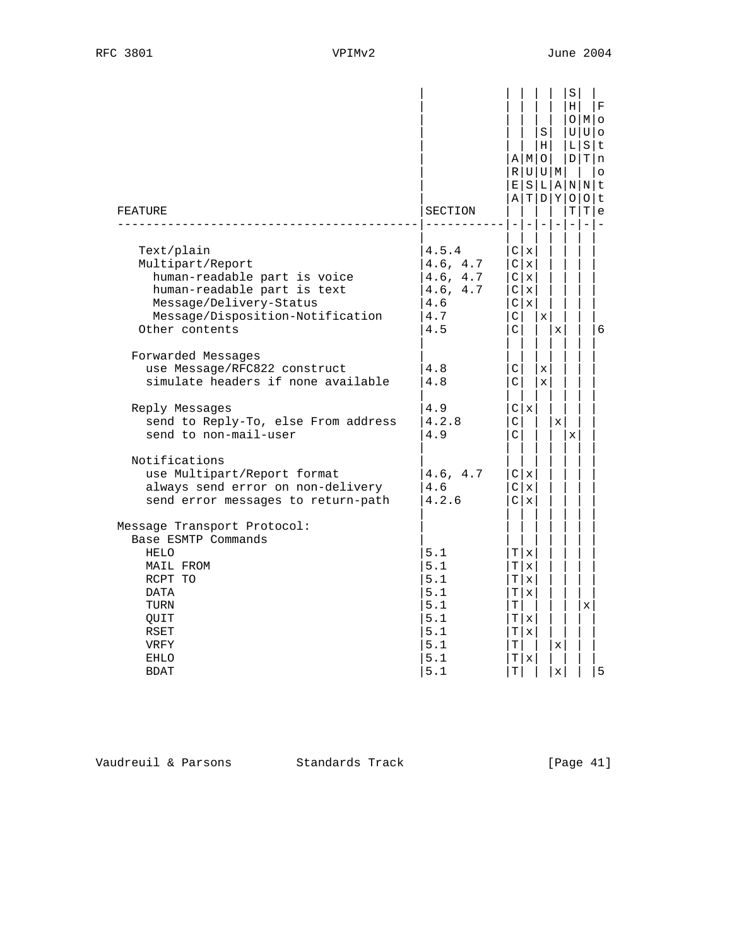| FEATURE                                                                                                                                                                        | SECTION                                                            |                              | $-1-1-$                                                     | S<br>$\vert H \vert$<br>A   M   O  <br>R U U M |                  | S<br>ΗI      | OIMO<br>$U U _Q$<br>L S t<br>D/T n<br>E S L A N N t<br>A T D Y O O t<br>T T e | ١F<br>l o |
|--------------------------------------------------------------------------------------------------------------------------------------------------------------------------------|--------------------------------------------------------------------|------------------------------|-------------------------------------------------------------|------------------------------------------------|------------------|--------------|-------------------------------------------------------------------------------|-----------|
| Text/plain<br>Multipart/Report<br>human-readable part is voice<br>human-readable part is text<br>Message/Delivery-Status<br>Message/Disposition-Notification<br>Other contents | 4.5.4<br>4.6, 4.7<br>4.6, 4.7<br>4.6, 4.7<br>4.6<br>4.7<br>4.5     | $\lfloor$ C<br>$\mathcal{C}$ | C x <br>C  X <br>C  X <br>C   x  <br>C   x                  | l x                                            | $\mathbf x$      |              |                                                                               | 6         |
| Forwarded Messages<br>use Message/RFC822 construct<br>simulate headers if none available                                                                                       | 4.8<br>4.8                                                         | $\mathsf{C}$<br>C I          |                                                             | x<br>$\mathbf x$                               |                  |              |                                                                               |           |
| Reply Messages<br>send to Reply-To, else From address<br>send to non-mail-user                                                                                                 | 4.9<br>4.2.8<br>4.9                                                | $\vert$ C<br>$\mathcal{C}$   | C  X                                                        |                                                | $\mathbf{x}$     | $\mathbf{x}$ |                                                                               |           |
| Notifications<br>use Multipart/Report format<br>always send error on non-delivery<br>send error messages to return-path                                                        | 4.6, 4.7<br>4.6<br>4.2.6                                           |                              | C   x  <br>C   X  <br>C  X                                  |                                                |                  |              |                                                                               |           |
| Message Transport Protocol:<br>Base ESMTP Commands<br><b>HELO</b><br>MAIL FROM<br>RCPT TO<br>DATA<br>TURN<br>QUIT<br>RSET<br>VRFY<br><b>EHLO</b><br><b>BDAT</b>                | 5.1<br>5.1<br>5.1<br>5.1<br>5.1<br>5.1<br>5.1<br>5.1<br>5.1<br>5.1 | Τl<br>тI<br>Т                | T x <br>T x <br>T   x  <br>T x <br>T   x  <br>T x <br>T   x |                                                | X<br>$\mathbf x$ |              | X                                                                             | 5         |

Vaudreuil & Parsons Standards Track [Page 41]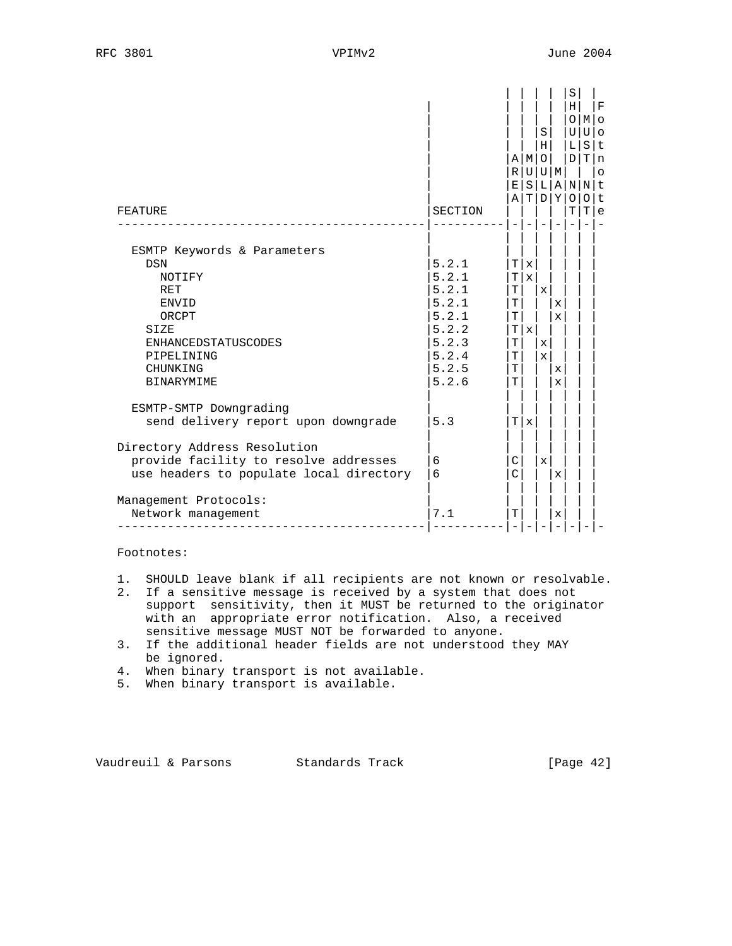| FEATURE                                                                                                                                                                           | SECTION                                                                                | R<br>E<br>Α                                      | AIMI<br>υI<br>$\rm S$                      | S<br>Н<br>$\circ$                            | U   M<br>T D Y   | S<br>H <sub>1</sub><br>O<br>U<br>L<br>D<br>L  A N N<br>0<br>т | $M$   O<br>U<br>S<br>$\Omega$<br>ΤI | $\mathbf F$<br>$\circ$<br>l t<br>Tln<br>$\circ$<br>t<br>t<br>e |
|-----------------------------------------------------------------------------------------------------------------------------------------------------------------------------------|----------------------------------------------------------------------------------------|--------------------------------------------------|--------------------------------------------|----------------------------------------------|------------------|---------------------------------------------------------------|-------------------------------------|----------------------------------------------------------------|
| ESMTP Keywords & Parameters<br><b>DSN</b><br>NOTIFY<br><b>RET</b><br><b>ENVID</b><br>ORCPT<br>SIZE<br><b>ENHANCEDSTATUSCODES</b><br>PIPELINING<br>CHUNKING<br><b>BINARYMIME</b>   | 5.2.1<br>5.2.1<br>5.2.1<br>5.2.1<br>5.2.1<br>5.2.2<br>5.2.3<br>5.2.4<br>5.2.5<br>5.2.6 | ΤI<br>Τl<br>Т<br>Т<br>Т<br>Т<br>т<br>т<br>T<br>T | $\mathbf x$<br>$\mathbf x$<br>$\mathbf{x}$ | $\mathbf{x}$<br>$\mathbf{x}$<br>$\mathbf{x}$ | X<br>x<br>X<br>x |                                                               |                                     |                                                                |
| ESMTP-SMTP Downgrading<br>send delivery report upon downgrade<br>Directory Address Resolution<br>provide facility to resolve addresses<br>use headers to populate local directory | 5.3<br>6<br>6                                                                          | Τl<br>C<br>C                                     | X                                          | $\mathbf{x}$                                 | X                |                                                               |                                     |                                                                |
| Management Protocols:<br>Network management                                                                                                                                       | 7.1                                                                                    | т                                                |                                            |                                              | x                |                                                               |                                     |                                                                |

Footnotes:

- 1. SHOULD leave blank if all recipients are not known or resolvable.
- 2. If a sensitive message is received by a system that does not support sensitivity, then it MUST be returned to the originator with an appropriate error notification. Also, a received sensitive message MUST NOT be forwarded to anyone.
	- 3. If the additional header fields are not understood they MAY be ignored.
	- 4. When binary transport is not available.
	- 5. When binary transport is available.

Vaudreuil & Parsons Standards Track [Page 42]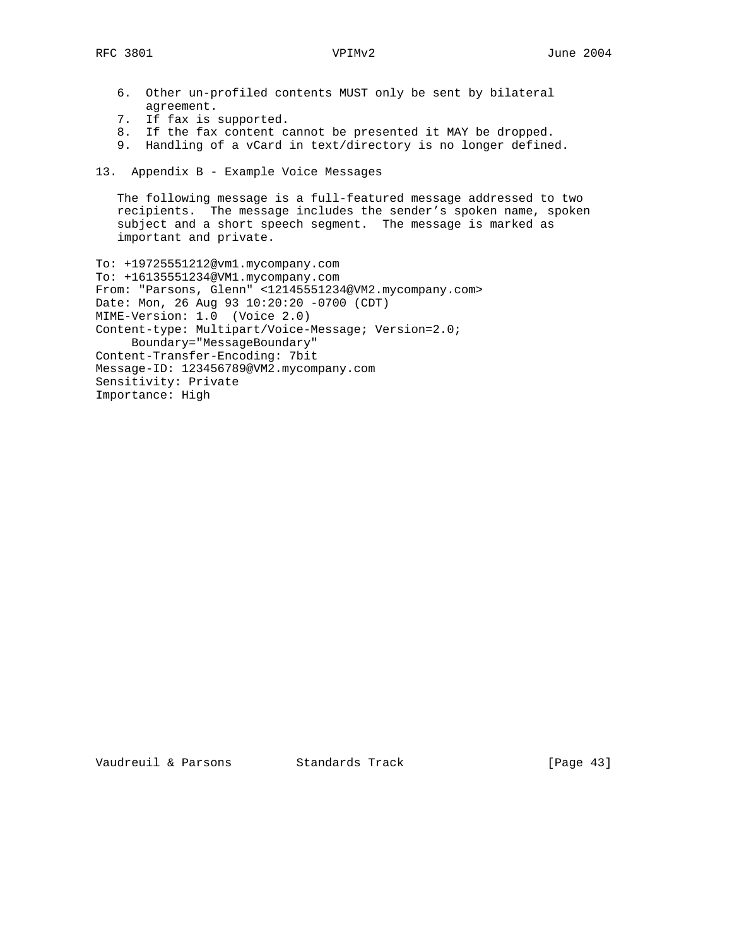- 6. Other un-profiled contents MUST only be sent by bilateral agreement.
- 7. If fax is supported.
- 8. If the fax content cannot be presented it MAY be dropped.
- 9. Handling of a vCard in text/directory is no longer defined.
- 13. Appendix B Example Voice Messages

 The following message is a full-featured message addressed to two recipients. The message includes the sender's spoken name, spoken subject and a short speech segment. The message is marked as important and private.

To: +19725551212@vm1.mycompany.com To: +16135551234@VM1.mycompany.com From: "Parsons, Glenn" <12145551234@VM2.mycompany.com> Date: Mon, 26 Aug 93 10:20:20 -0700 (CDT) MIME-Version: 1.0 (Voice 2.0) Content-type: Multipart/Voice-Message; Version=2.0; Boundary="MessageBoundary" Content-Transfer-Encoding: 7bit Message-ID: 123456789@VM2.mycompany.com Sensitivity: Private Importance: High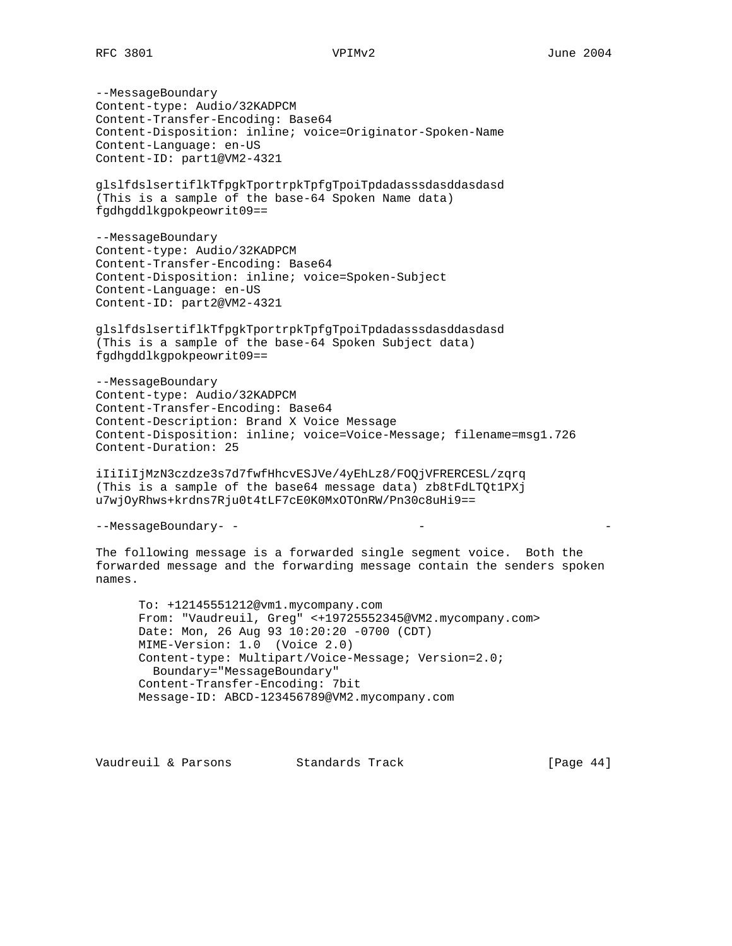--MessageBoundary Content-type: Audio/32KADPCM Content-Transfer-Encoding: Base64 Content-Disposition: inline; voice=Originator-Spoken-Name Content-Language: en-US Content-ID: part1@VM2-4321

glslfdslsertiflkTfpgkTportrpkTpfgTpoiTpdadasssdasddasdasd (This is a sample of the base-64 Spoken Name data) fgdhgddlkgpokpeowrit09==

--MessageBoundary Content-type: Audio/32KADPCM Content-Transfer-Encoding: Base64 Content-Disposition: inline; voice=Spoken-Subject Content-Language: en-US Content-ID: part2@VM2-4321

glslfdslsertiflkTfpgkTportrpkTpfgTpoiTpdadasssdasddasdasd (This is a sample of the base-64 Spoken Subject data) fgdhgddlkgpokpeowrit09==

--MessageBoundary Content-type: Audio/32KADPCM Content-Transfer-Encoding: Base64 Content-Description: Brand X Voice Message Content-Disposition: inline; voice=Voice-Message; filename=msg1.726 Content-Duration: 25

iIiIiIjMzN3czdze3s7d7fwfHhcvESJVe/4yEhLz8/FOQjVFRERCESL/zqrq (This is a sample of the base64 message data) zb8tFdLTQt1PXj u7wjOyRhws+krdns7Rju0t4tLF7cE0K0MxOTOnRW/Pn30c8uHi9==

--MessageBoundary- - - -

The following message is a forwarded single segment voice. Both the forwarded message and the forwarding message contain the senders spoken names.

 To: +12145551212@vm1.mycompany.com From: "Vaudreuil, Greg" <+19725552345@VM2.mycompany.com> Date: Mon, 26 Aug 93 10:20:20 -0700 (CDT) MIME-Version: 1.0 (Voice 2.0) Content-type: Multipart/Voice-Message; Version=2.0; Boundary="MessageBoundary" Content-Transfer-Encoding: 7bit Message-ID: ABCD-123456789@VM2.mycompany.com

Vaudreuil & Parsons Standards Track [Page 44]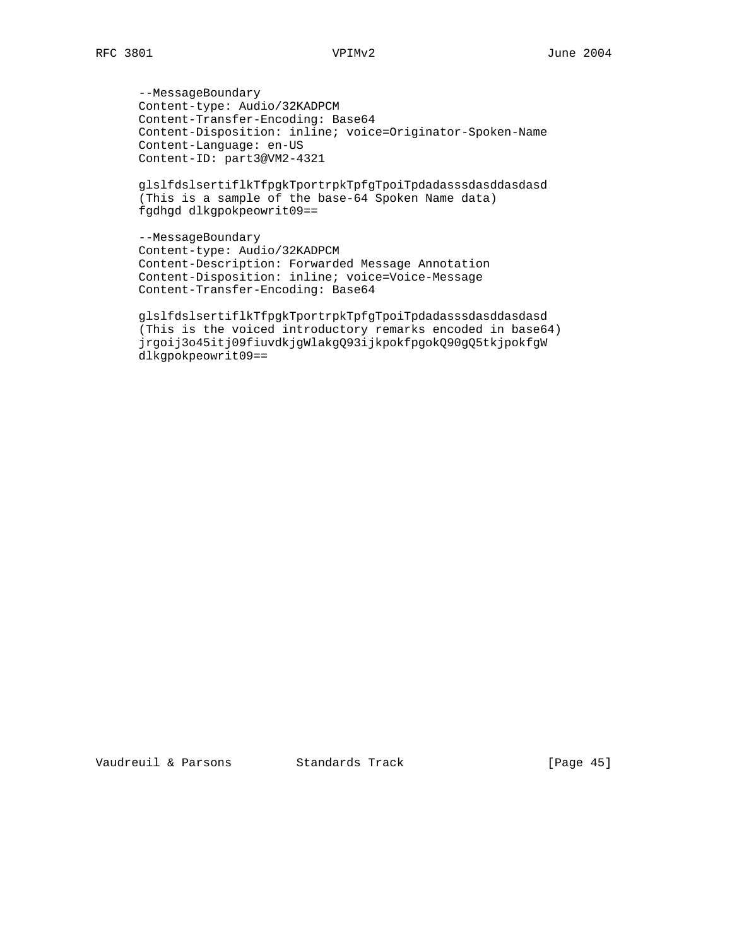--MessageBoundary Content-type: Audio/32KADPCM Content-Transfer-Encoding: Base64 Content-Disposition: inline; voice=Originator-Spoken-Name Content-Language: en-US Content-ID: part3@VM2-4321

 glslfdslsertiflkTfpgkTportrpkTpfgTpoiTpdadasssdasddasdasd (This is a sample of the base-64 Spoken Name data) fgdhgd dlkgpokpeowrit09==

 --MessageBoundary Content-type: Audio/32KADPCM Content-Description: Forwarded Message Annotation Content-Disposition: inline; voice=Voice-Message Content-Transfer-Encoding: Base64

> glslfdslsertiflkTfpgkTportrpkTpfgTpoiTpdadasssdasddasdasd (This is the voiced introductory remarks encoded in base64) jrgoij3o45itj09fiuvdkjgWlakgQ93ijkpokfpgokQ90gQ5tkjpokfgW dlkgpokpeowrit09==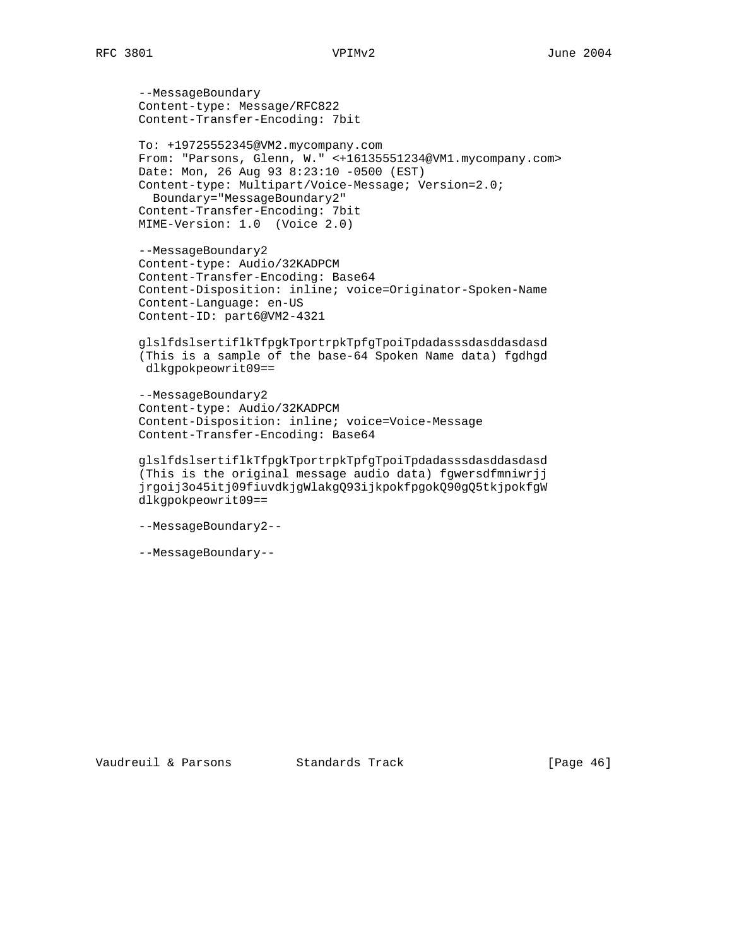--MessageBoundary Content-type: Message/RFC822 Content-Transfer-Encoding: 7bit

 To: +19725552345@VM2.mycompany.com From: "Parsons, Glenn, W." <+16135551234@VM1.mycompany.com> Date: Mon, 26 Aug 93 8:23:10 -0500 (EST) Content-type: Multipart/Voice-Message; Version=2.0; Boundary="MessageBoundary2" Content-Transfer-Encoding: 7bit MIME-Version: 1.0 (Voice 2.0)

 --MessageBoundary2 Content-type: Audio/32KADPCM Content-Transfer-Encoding: Base64 Content-Disposition: inline; voice=Originator-Spoken-Name Content-Language: en-US Content-ID: part6@VM2-4321

 glslfdslsertiflkTfpgkTportrpkTpfgTpoiTpdadasssdasddasdasd (This is a sample of the base-64 Spoken Name data) fgdhgd dlkgpokpeowrit09==

 --MessageBoundary2 Content-type: Audio/32KADPCM Content-Disposition: inline; voice=Voice-Message Content-Transfer-Encoding: Base64

 glslfdslsertiflkTfpgkTportrpkTpfgTpoiTpdadasssdasddasdasd (This is the original message audio data) fgwersdfmniwrjj jrgoij3o45itj09fiuvdkjgWlakgQ93ijkpokfpgokQ90gQ5tkjpokfgW dlkgpokpeowrit09==

```
 --MessageBoundary2--
```
--MessageBoundary--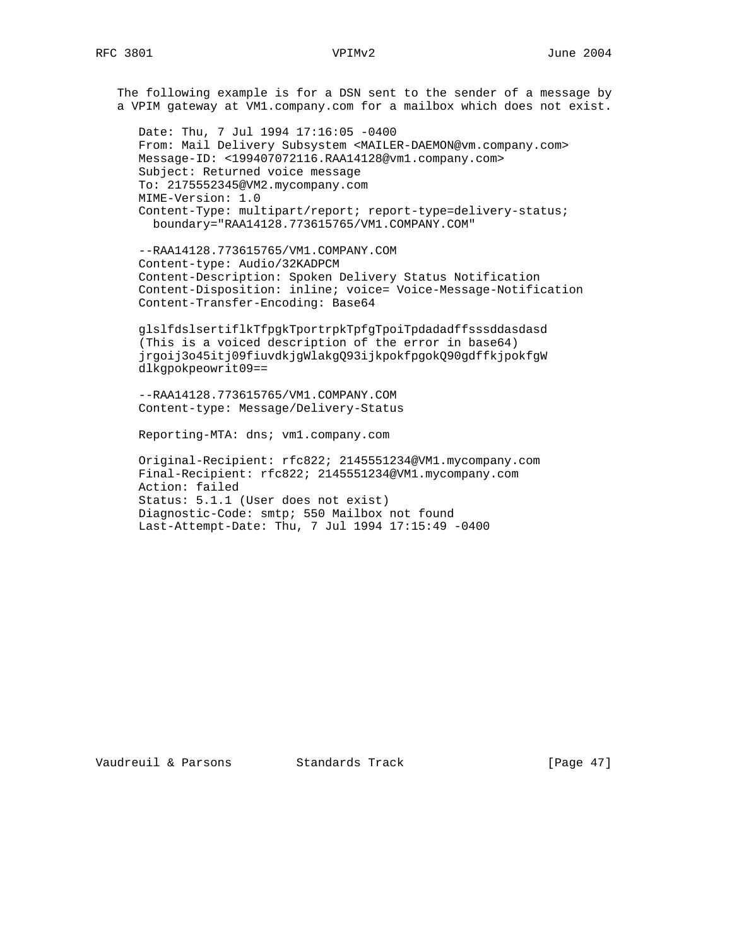The following example is for a DSN sent to the sender of a message by a VPIM gateway at VM1.company.com for a mailbox which does not exist.

 Date: Thu, 7 Jul 1994 17:16:05 -0400 From: Mail Delivery Subsystem <MAILER-DAEMON@vm.company.com> Message-ID: <199407072116.RAA14128@vm1.company.com> Subject: Returned voice message To: 2175552345@VM2.mycompany.com MIME-Version: 1.0 Content-Type: multipart/report; report-type=delivery-status; boundary="RAA14128.773615765/VM1.COMPANY.COM"

 --RAA14128.773615765/VM1.COMPANY.COM Content-type: Audio/32KADPCM Content-Description: Spoken Delivery Status Notification Content-Disposition: inline; voice= Voice-Message-Notification Content-Transfer-Encoding: Base64

 glslfdslsertiflkTfpgkTportrpkTpfgTpoiTpdadadffsssddasdasd (This is a voiced description of the error in base64) jrgoij3o45itj09fiuvdkjgWlakgQ93ijkpokfpgokQ90gdffkjpokfgW dlkgpokpeowrit09==

 --RAA14128.773615765/VM1.COMPANY.COM Content-type: Message/Delivery-Status

Reporting-MTA: dns; vm1.company.com

 Original-Recipient: rfc822; 2145551234@VM1.mycompany.com Final-Recipient: rfc822; 2145551234@VM1.mycompany.com Action: failed Status: 5.1.1 (User does not exist) Diagnostic-Code: smtp; 550 Mailbox not found Last-Attempt-Date: Thu, 7 Jul 1994 17:15:49 -0400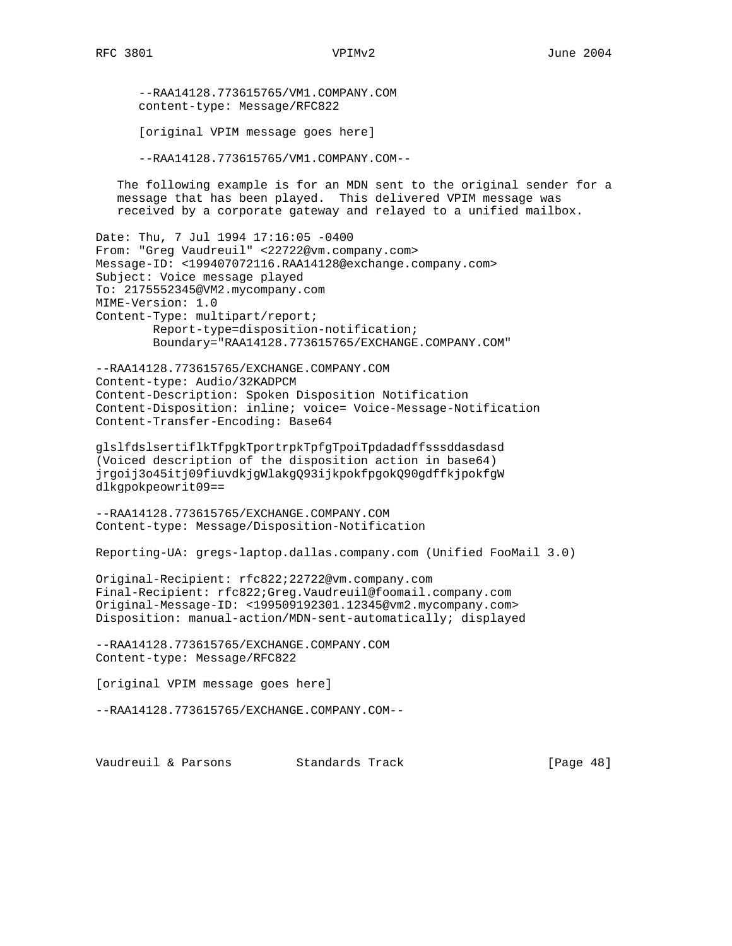--RAA14128.773615765/VM1.COMPANY.COM content-type: Message/RFC822

[original VPIM message goes here]

--RAA14128.773615765/VM1.COMPANY.COM--

 The following example is for an MDN sent to the original sender for a message that has been played. This delivered VPIM message was received by a corporate gateway and relayed to a unified mailbox.

Date: Thu, 7 Jul 1994 17:16:05 -0400 From: "Greg Vaudreuil" <22722@vm.company.com> Message-ID: <199407072116.RAA14128@exchange.company.com> Subject: Voice message played To: 2175552345@VM2.mycompany.com MIME-Version: 1.0 Content-Type: multipart/report; Report-type=disposition-notification; Boundary="RAA14128.773615765/EXCHANGE.COMPANY.COM"

--RAA14128.773615765/EXCHANGE.COMPANY.COM Content-type: Audio/32KADPCM Content-Description: Spoken Disposition Notification Content-Disposition: inline; voice= Voice-Message-Notification Content-Transfer-Encoding: Base64

glslfdslsertiflkTfpgkTportrpkTpfgTpoiTpdadadffsssddasdasd (Voiced description of the disposition action in base64) jrgoij3o45itj09fiuvdkjgWlakgQ93ijkpokfpgokQ90gdffkjpokfgW dlkgpokpeowrit09==

--RAA14128.773615765/EXCHANGE.COMPANY.COM Content-type: Message/Disposition-Notification

Reporting-UA: gregs-laptop.dallas.company.com (Unified FooMail 3.0)

Original-Recipient: rfc822;22722@vm.company.com Final-Recipient: rfc822;Greg.Vaudreuil@foomail.company.com Original-Message-ID: <199509192301.12345@vm2.mycompany.com> Disposition: manual-action/MDN-sent-automatically; displayed

--RAA14128.773615765/EXCHANGE.COMPANY.COM Content-type: Message/RFC822

[original VPIM message goes here]

--RAA14128.773615765/EXCHANGE.COMPANY.COM--

Vaudreuil & Parsons Standards Track [Page 48]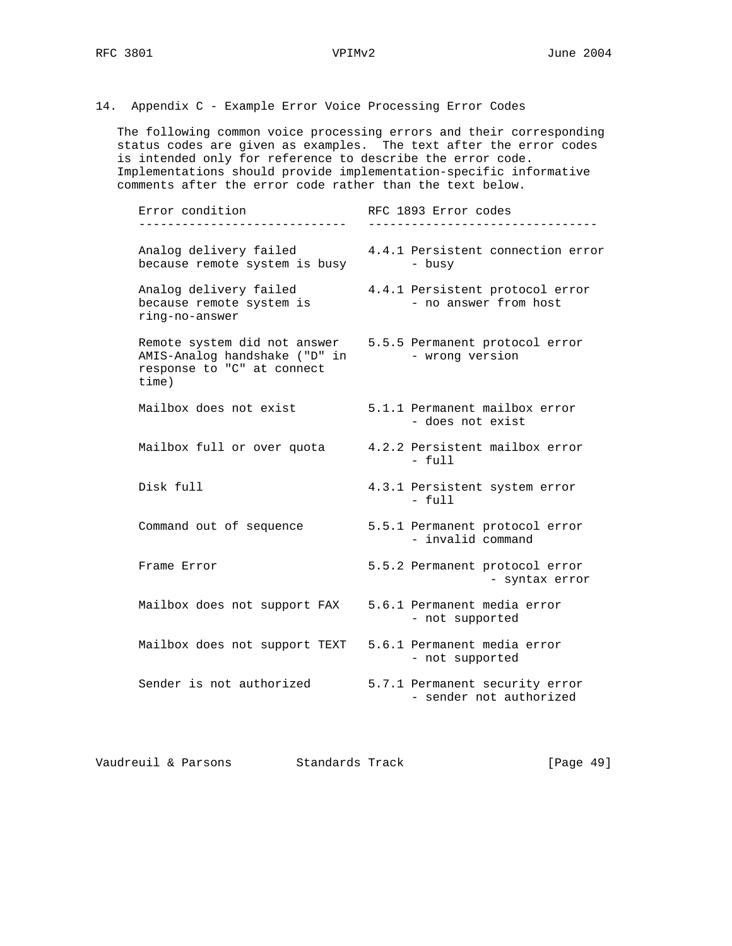14. Appendix C - Example Error Voice Processing Error Codes

 The following common voice processing errors and their corresponding status codes are given as examples. The text after the error codes is intended only for reference to describe the error code. Implementations should provide implementation-specific informative comments after the error code rather than the text below.

| Error condition                                                                                      | RFC 1893 Error codes                                      |
|------------------------------------------------------------------------------------------------------|-----------------------------------------------------------|
| Analog delivery failed<br>because remote system is busy                                              | 4.4.1 Persistent connection error<br>- busy               |
| Analog delivery failed<br>because remote system is<br>ring-no-answer                                 | 4.4.1 Persistent protocol error<br>- no answer from host  |
| Remote system did not answer<br>AMIS-Analog handshake ("D" in<br>response to "C" at connect<br>time) | 5.5.5 Permanent protocol error<br>- wrong version         |
| Mailbox does not exist                                                                               | 5.1.1 Permanent mailbox error<br>- does not exist         |
| Mailbox full or over quota                                                                           | 4.2.2 Persistent mailbox error<br>$-$ full                |
| Disk full                                                                                            | 4.3.1 Persistent system error<br>$-$ full                 |
| Command out of sequence                                                                              | 5.5.1 Permanent protocol error<br>- invalid command       |
| Frame Error                                                                                          | 5.5.2 Permanent protocol error<br>- syntax error          |
| Mailbox does not support FAX                                                                         | 5.6.1 Permanent media error<br>- not supported            |
| Mailbox does not support TEXT                                                                        | 5.6.1 Permanent media error<br>- not supported            |
| Sender is not authorized                                                                             | 5.7.1 Permanent security error<br>- sender not authorized |
|                                                                                                      |                                                           |

Vaudreuil & Parsons Standards Track [Page 49]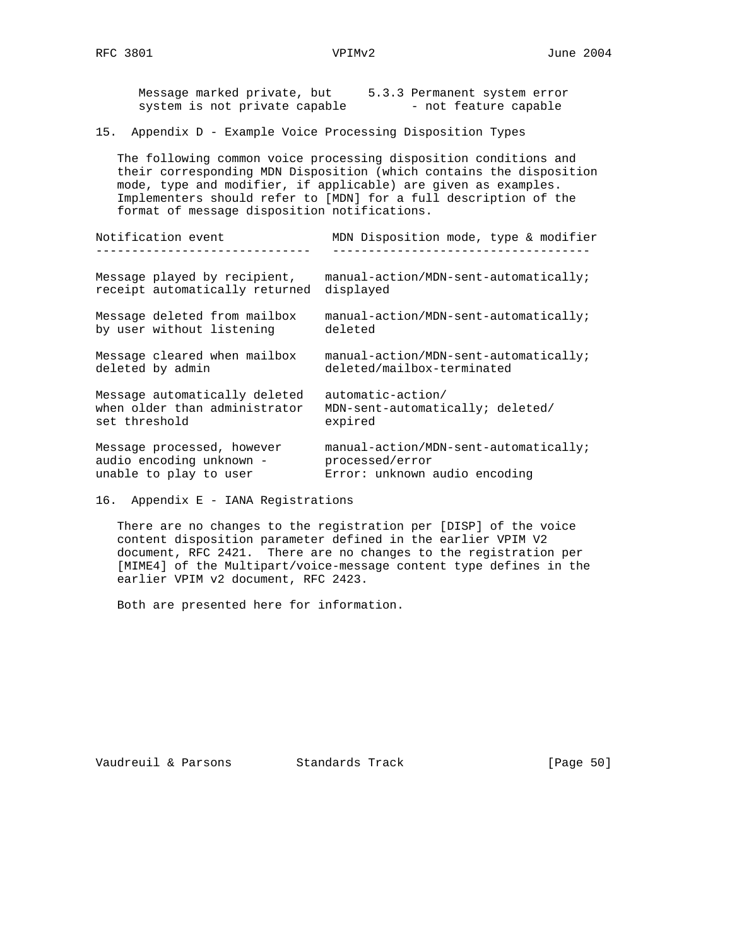Message marked private, but 5.3.3 Permanent system error system is not private capable  $-$  not feature capable

15. Appendix D - Example Voice Processing Disposition Types

 The following common voice processing disposition conditions and their corresponding MDN Disposition (which contains the disposition mode, type and modifier, if applicable) are given as examples. Implementers should refer to [MDN] for a full description of the format of message disposition notifications.

| Notification event             | MDN Disposition mode, type & modifier |
|--------------------------------|---------------------------------------|
| Message played by recipient,   | manual-action/MDN-sent-automatically; |
| receipt automatically returned | displayed                             |
| Message deleted from mailbox   | manual-action/MDN-sent-automatically; |
| by user without listening      | deleted                               |
| Message cleared when mailbox   | manual-action/MDN-sent-automatically; |
| deleted by admin               | deleted/mailbox-terminated            |
| Message automatically deleted  | automatic-action/                     |
| when older than administrator  | MDN-sent-automatically; deleted/      |
| set threshold                  | expired                               |
| Message processed, however     | manual-action/MDN-sent-automatically; |
| audio encoding unknown -       | processed/error                       |
| unable to play to user         | Error: unknown audio encoding         |

<sup>16.</sup> Appendix E - IANA Registrations

 There are no changes to the registration per [DISP] of the voice content disposition parameter defined in the earlier VPIM V2 document, RFC 2421. There are no changes to the registration per [MIME4] of the Multipart/voice-message content type defines in the earlier VPIM v2 document, RFC 2423.

Both are presented here for information.

Vaudreuil & Parsons Standards Track [Page 50]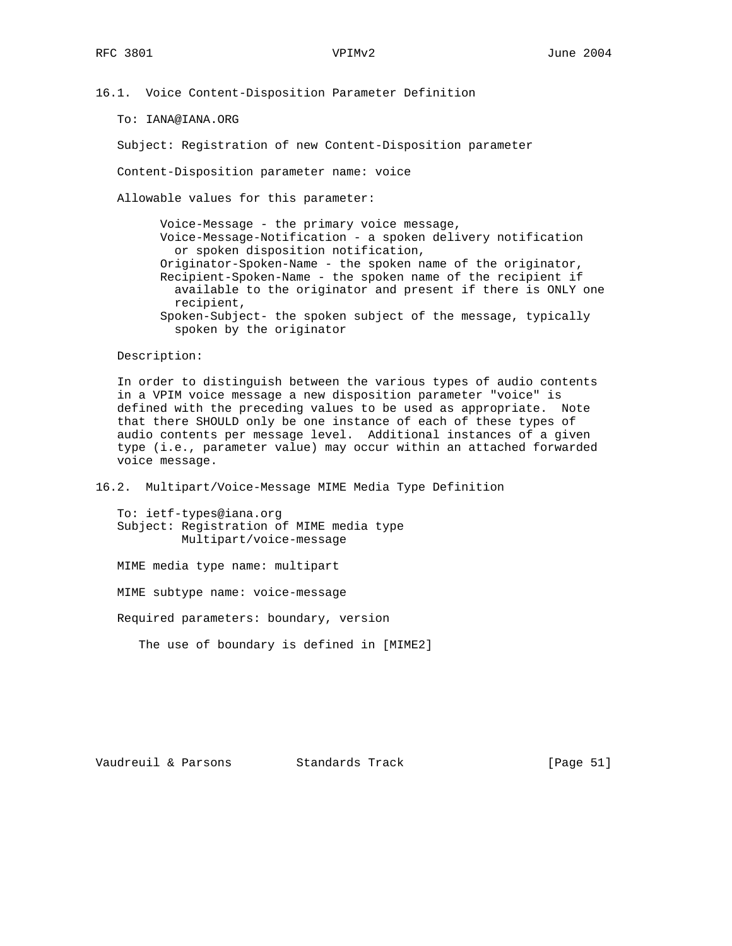16.1. Voice Content-Disposition Parameter Definition

To: IANA@IANA.ORG

Subject: Registration of new Content-Disposition parameter

Content-Disposition parameter name: voice

Allowable values for this parameter:

 Voice-Message - the primary voice message, Voice-Message-Notification - a spoken delivery notification or spoken disposition notification, Originator-Spoken-Name - the spoken name of the originator, Recipient-Spoken-Name - the spoken name of the recipient if available to the originator and present if there is ONLY one recipient, Spoken-Subject- the spoken subject of the message, typically spoken by the originator

Description:

 In order to distinguish between the various types of audio contents in a VPIM voice message a new disposition parameter "voice" is defined with the preceding values to be used as appropriate. Note that there SHOULD only be one instance of each of these types of audio contents per message level. Additional instances of a given type (i.e., parameter value) may occur within an attached forwarded voice message.

16.2. Multipart/Voice-Message MIME Media Type Definition

 To: ietf-types@iana.org Subject: Registration of MIME media type Multipart/voice-message

MIME media type name: multipart

MIME subtype name: voice-message

Required parameters: boundary, version

The use of boundary is defined in [MIME2]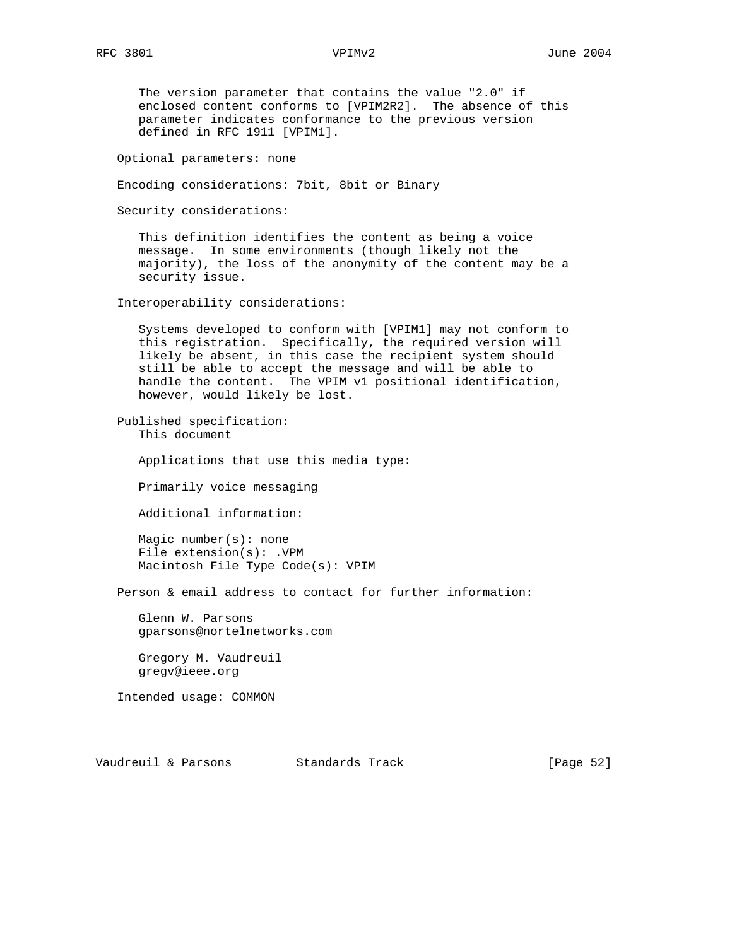The version parameter that contains the value "2.0" if enclosed content conforms to [VPIM2R2]. The absence of this parameter indicates conformance to the previous version defined in RFC 1911 [VPIM1].

Optional parameters: none

```
 Encoding considerations: 7bit, 8bit or Binary
```
Security considerations:

 This definition identifies the content as being a voice message. In some environments (though likely not the majority), the loss of the anonymity of the content may be a security issue.

Interoperability considerations:

 Systems developed to conform with [VPIM1] may not conform to this registration. Specifically, the required version will likely be absent, in this case the recipient system should still be able to accept the message and will be able to handle the content. The VPIM v1 positional identification, however, would likely be lost.

 Published specification: This document

Applications that use this media type:

Primarily voice messaging

Additional information:

 Magic number(s): none File extension(s): .VPM Macintosh File Type Code(s): VPIM

Person & email address to contact for further information:

 Glenn W. Parsons gparsons@nortelnetworks.com

 Gregory M. Vaudreuil gregv@ieee.org

Intended usage: COMMON

Vaudreuil & Parsons Standards Track [Page 52]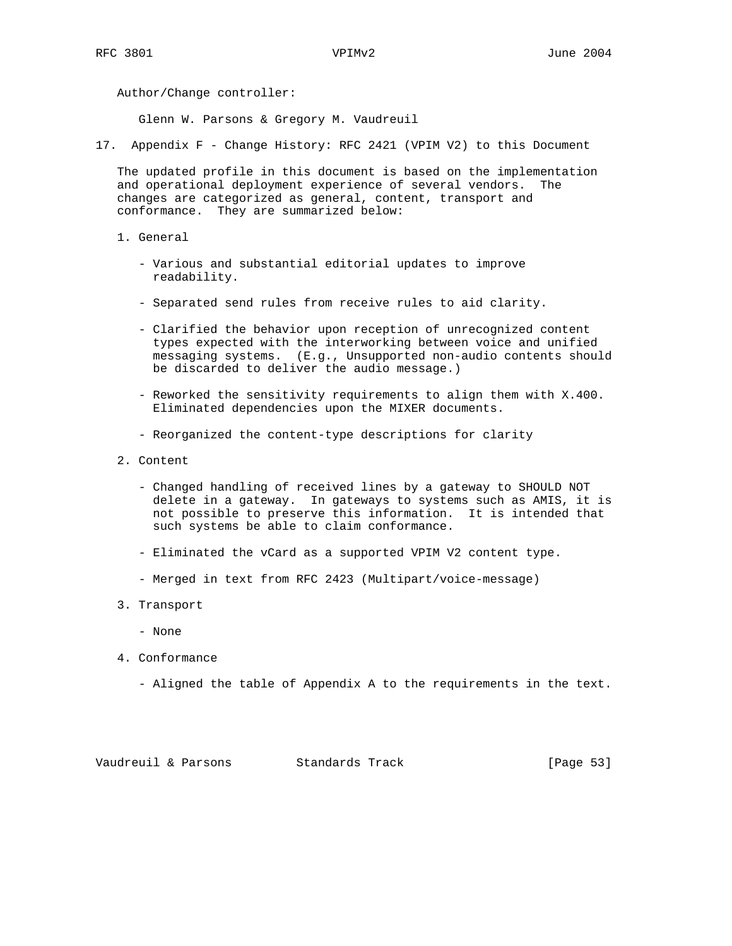Author/Change controller:

Glenn W. Parsons & Gregory M. Vaudreuil

17. Appendix F - Change History: RFC 2421 (VPIM V2) to this Document

 The updated profile in this document is based on the implementation and operational deployment experience of several vendors. The changes are categorized as general, content, transport and conformance. They are summarized below:

- 1. General
	- Various and substantial editorial updates to improve readability.
	- Separated send rules from receive rules to aid clarity.
	- Clarified the behavior upon reception of unrecognized content types expected with the interworking between voice and unified messaging systems. (E.g., Unsupported non-audio contents should be discarded to deliver the audio message.)
	- Reworked the sensitivity requirements to align them with X.400. Eliminated dependencies upon the MIXER documents.
	- Reorganized the content-type descriptions for clarity
- 2. Content
	- Changed handling of received lines by a gateway to SHOULD NOT delete in a gateway. In gateways to systems such as AMIS, it is not possible to preserve this information. It is intended that such systems be able to claim conformance.
	- Eliminated the vCard as a supported VPIM V2 content type.
	- Merged in text from RFC 2423 (Multipart/voice-message)
- 3. Transport
	- None
- 4. Conformance
	- Aligned the table of Appendix A to the requirements in the text.

| Vaudreuil & Parsons |  | Standards Track |  | [Page 53] |  |
|---------------------|--|-----------------|--|-----------|--|
|---------------------|--|-----------------|--|-----------|--|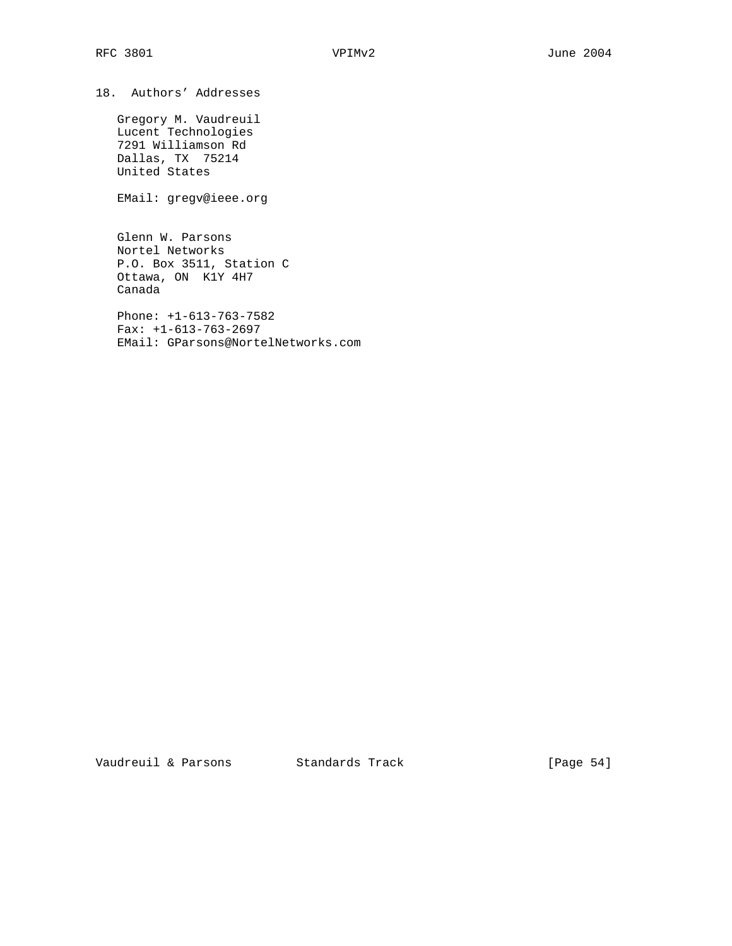18. Authors' Addresses

 Gregory M. Vaudreuil Lucent Technologies 7291 Williamson Rd Dallas, TX 75214 United States

EMail: gregv@ieee.org

 Glenn W. Parsons Nortel Networks P.O. Box 3511, Station C Ottawa, ON K1Y 4H7 Canada

 Phone: +1-613-763-7582 Fax: +1-613-763-2697 EMail: GParsons@NortelNetworks.com